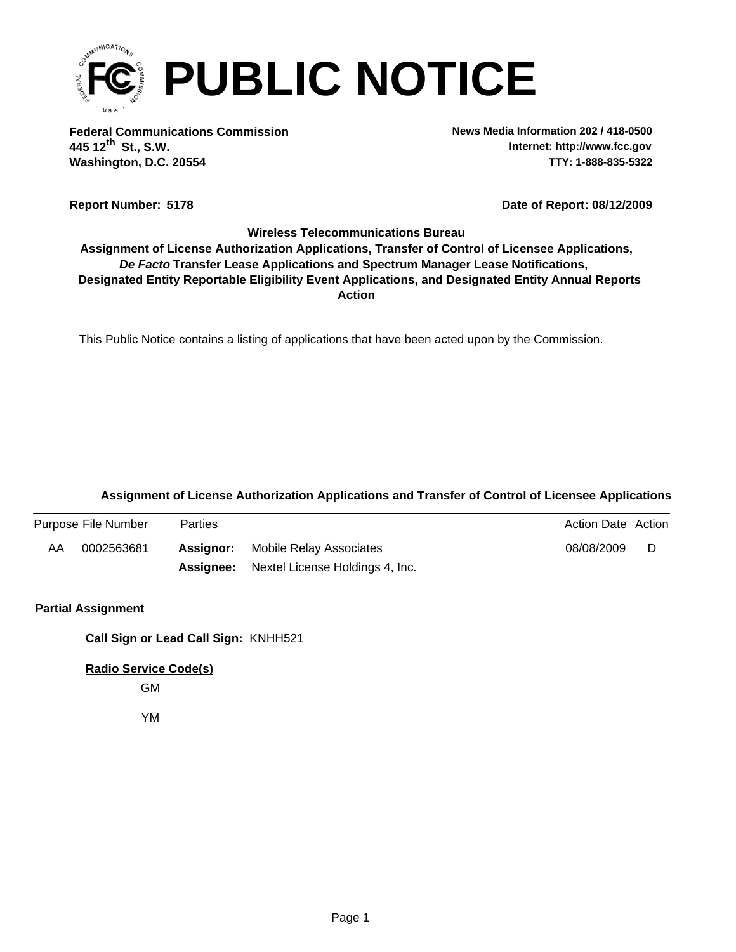

**Federal Communications Commission News Media Information 202 / 418-0500 Washington, D.C. 20554 TTY: 1-888-835-5322 445 12 St., S.W. th**

**Internet: http://www.fcc.gov**

#### **Report Number: 5178 5178 5178 5178 5178 5178 5178 5178 5178 5178 5178 5178 5178 5178 5178 5178 5178 5178 5178 5178 5178 5178 5178 5178 5178 5178 5178 5178 5178 517**

#### **Wireless Telecommunications Bureau**

**Action** *De Facto* **Transfer Lease Applications and Spectrum Manager Lease Notifications, Designated Entity Reportable Eligibility Event Applications, and Designated Entity Annual Reports Assignment of License Authorization Applications, Transfer of Control of Licensee Applications,**

This Public Notice contains a listing of applications that have been acted upon by the Commission.

### **Assignment of License Authorization Applications and Transfer of Control of Licensee Applications**

|    | Purpose File Number | Parties |                                                  | Action Date Action |  |
|----|---------------------|---------|--------------------------------------------------|--------------------|--|
| AA | 0002563681          |         | <b>Assignor:</b> Mobile Relay Associates         | 08/08/2009         |  |
|    |                     |         | <b>Assignee:</b> Nextel License Holdings 4, Inc. |                    |  |

### **Partial Assignment**

**Call Sign or Lead Call Sign:** KNHH521

**Radio Service Code(s)**

GM

YM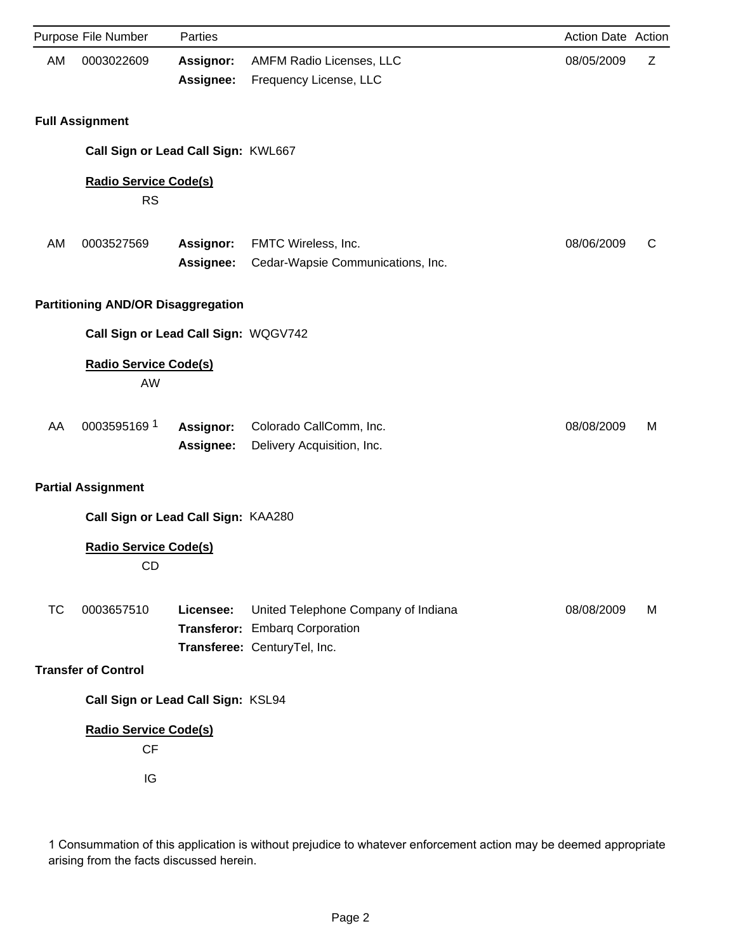|           | Purpose File Number                       | Parties                |                                                                                                       | Action Date Action |   |
|-----------|-------------------------------------------|------------------------|-------------------------------------------------------------------------------------------------------|--------------------|---|
| AM        | 0003022609                                | Assignor:<br>Assignee: | AMFM Radio Licenses, LLC<br>Frequency License, LLC                                                    | 08/05/2009         | Ζ |
|           | <b>Full Assignment</b>                    |                        |                                                                                                       |                    |   |
|           | Call Sign or Lead Call Sign: KWL667       |                        |                                                                                                       |                    |   |
|           | <b>Radio Service Code(s)</b><br><b>RS</b> |                        |                                                                                                       |                    |   |
| AM        | 0003527569                                | Assignor:<br>Assignee: | FMTC Wireless, Inc.<br>Cedar-Wapsie Communications, Inc.                                              | 08/06/2009         | C |
|           | <b>Partitioning AND/OR Disaggregation</b> |                        |                                                                                                       |                    |   |
|           | Call Sign or Lead Call Sign: WQGV742      |                        |                                                                                                       |                    |   |
|           | <b>Radio Service Code(s)</b><br>AW        |                        |                                                                                                       |                    |   |
| AA        | 0003595169 1                              | Assignor:<br>Assignee: | Colorado CallComm, Inc.<br>Delivery Acquisition, Inc.                                                 | 08/08/2009         | M |
|           | <b>Partial Assignment</b>                 |                        |                                                                                                       |                    |   |
|           | Call Sign or Lead Call Sign: KAA280       |                        |                                                                                                       |                    |   |
|           | <b>Radio Service Code(s)</b><br>CD        |                        |                                                                                                       |                    |   |
| <b>TC</b> | 0003657510                                | Licensee:              | United Telephone Company of Indiana<br>Transferor: Embarg Corporation<br>Transferee: CenturyTel, Inc. | 08/08/2009         | M |
|           | <b>Transfer of Control</b>                |                        |                                                                                                       |                    |   |
|           | Call Sign or Lead Call Sign: KSL94        |                        |                                                                                                       |                    |   |
|           | <b>Radio Service Code(s)</b><br>CF        |                        |                                                                                                       |                    |   |
|           | IG                                        |                        |                                                                                                       |                    |   |

1 Consummation of this application is without prejudice to whatever enforcement action may be deemed appropriate arising from the facts discussed herein.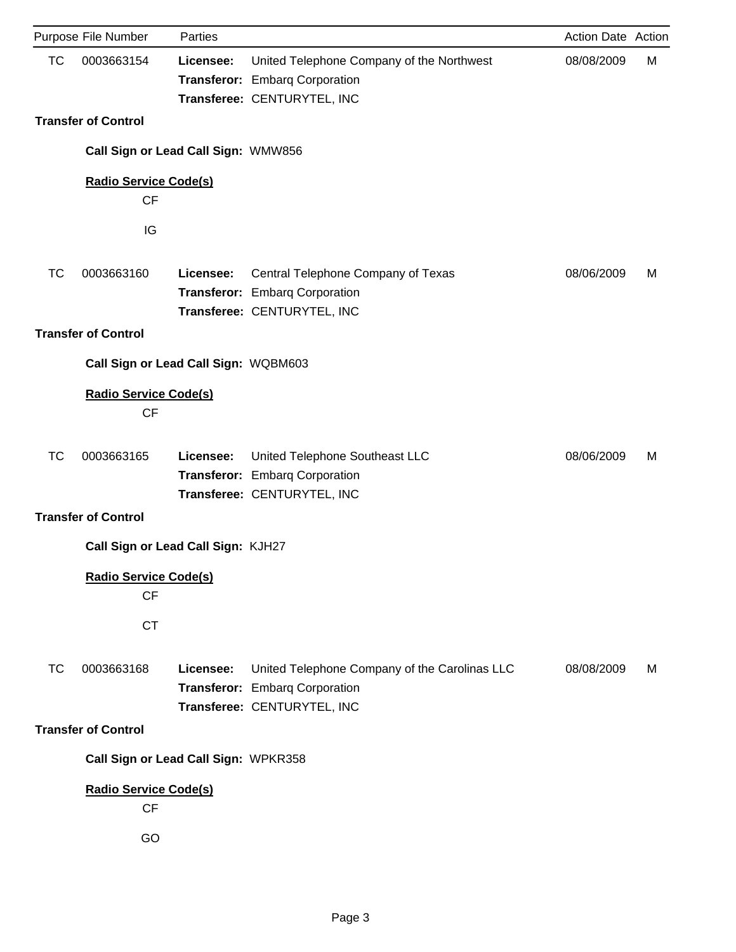|           | Purpose File Number                             | Parties   |                                                                                                                | Action Date Action |   |
|-----------|-------------------------------------------------|-----------|----------------------------------------------------------------------------------------------------------------|--------------------|---|
| <b>TC</b> | 0003663154                                      | Licensee: | United Telephone Company of the Northwest<br>Transferor: Embarq Corporation<br>Transferee: CENTURYTEL, INC     | 08/08/2009         | М |
|           | <b>Transfer of Control</b>                      |           |                                                                                                                |                    |   |
|           | Call Sign or Lead Call Sign: WMW856             |           |                                                                                                                |                    |   |
|           | <b>Radio Service Code(s)</b><br><b>CF</b>       |           |                                                                                                                |                    |   |
|           | IG                                              |           |                                                                                                                |                    |   |
| <b>TC</b> | 0003663160                                      | Licensee: | Central Telephone Company of Texas<br>Transferor: Embarq Corporation<br>Transferee: CENTURYTEL, INC            | 08/06/2009         | м |
|           | <b>Transfer of Control</b>                      |           |                                                                                                                |                    |   |
|           | Call Sign or Lead Call Sign: WQBM603            |           |                                                                                                                |                    |   |
|           | <b>Radio Service Code(s)</b><br>CF              |           |                                                                                                                |                    |   |
| <b>TC</b> | 0003663165                                      | Licensee: | United Telephone Southeast LLC<br>Transferor: Embarq Corporation<br>Transferee: CENTURYTEL, INC                | 08/06/2009         | м |
|           | <b>Transfer of Control</b>                      |           |                                                                                                                |                    |   |
|           | Call Sign or Lead Call Sign: KJH27              |           |                                                                                                                |                    |   |
|           | <b>Radio Service Code(s)</b><br><b>CF</b>       |           |                                                                                                                |                    |   |
|           | <b>CT</b>                                       |           |                                                                                                                |                    |   |
| <b>TC</b> | 0003663168                                      | Licensee: | United Telephone Company of the Carolinas LLC<br>Transferor: Embarg Corporation<br>Transferee: CENTURYTEL, INC | 08/08/2009         | M |
|           | <b>Transfer of Control</b>                      |           |                                                                                                                |                    |   |
|           | Call Sign or Lead Call Sign: WPKR358            |           |                                                                                                                |                    |   |
|           | <b>Radio Service Code(s)</b><br><b>CF</b><br>GO |           |                                                                                                                |                    |   |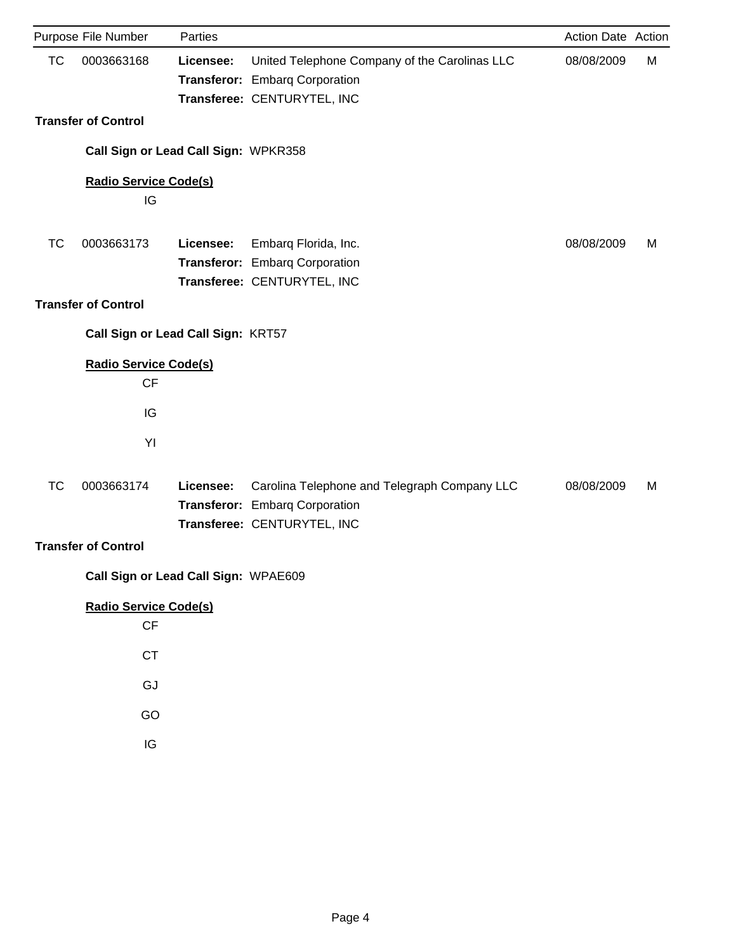| Purpose File Number        | Parties   |                                                                                              | Action Date Action                                                                                                                                                                                                                                                                                                    |   |
|----------------------------|-----------|----------------------------------------------------------------------------------------------|-----------------------------------------------------------------------------------------------------------------------------------------------------------------------------------------------------------------------------------------------------------------------------------------------------------------------|---|
| 0003663168                 | Licensee: | United Telephone Company of the Carolinas LLC                                                | 08/08/2009                                                                                                                                                                                                                                                                                                            | M |
| <b>Transfer of Control</b> |           |                                                                                              |                                                                                                                                                                                                                                                                                                                       |   |
|                            |           |                                                                                              |                                                                                                                                                                                                                                                                                                                       |   |
| IG                         |           |                                                                                              |                                                                                                                                                                                                                                                                                                                       |   |
| 0003663173                 | Licensee: | Embarq Florida, Inc.                                                                         | 08/08/2009                                                                                                                                                                                                                                                                                                            | M |
| <b>Transfer of Control</b> |           |                                                                                              |                                                                                                                                                                                                                                                                                                                       |   |
|                            |           |                                                                                              |                                                                                                                                                                                                                                                                                                                       |   |
| CF                         |           |                                                                                              |                                                                                                                                                                                                                                                                                                                       |   |
| IG                         |           |                                                                                              |                                                                                                                                                                                                                                                                                                                       |   |
| YI                         |           |                                                                                              |                                                                                                                                                                                                                                                                                                                       |   |
| 0003663174                 | Licensee: | Carolina Telephone and Telegraph Company LLC                                                 | 08/08/2009                                                                                                                                                                                                                                                                                                            | M |
| <b>Transfer of Control</b> |           |                                                                                              |                                                                                                                                                                                                                                                                                                                       |   |
|                            |           |                                                                                              |                                                                                                                                                                                                                                                                                                                       |   |
| $\mathsf{C}\mathsf{F}$     |           |                                                                                              |                                                                                                                                                                                                                                                                                                                       |   |
| <b>CT</b>                  |           |                                                                                              |                                                                                                                                                                                                                                                                                                                       |   |
| GJ                         |           |                                                                                              |                                                                                                                                                                                                                                                                                                                       |   |
| GO                         |           |                                                                                              |                                                                                                                                                                                                                                                                                                                       |   |
|                            |           |                                                                                              |                                                                                                                                                                                                                                                                                                                       |   |
|                            |           |                                                                                              |                                                                                                                                                                                                                                                                                                                       |   |
|                            | $\sf IG$  | <b>Radio Service Code(s)</b><br><b>Radio Service Code(s)</b><br><b>Radio Service Code(s)</b> | Transferor: Embarq Corporation<br>Transferee: CENTURYTEL, INC<br>Call Sign or Lead Call Sign: WPKR358<br>Transferor: Embarg Corporation<br>Transferee: CENTURYTEL, INC<br>Call Sign or Lead Call Sign: KRT57<br>Transferor: Embarg Corporation<br>Transferee: CENTURYTEL, INC<br>Call Sign or Lead Call Sign: WPAE609 |   |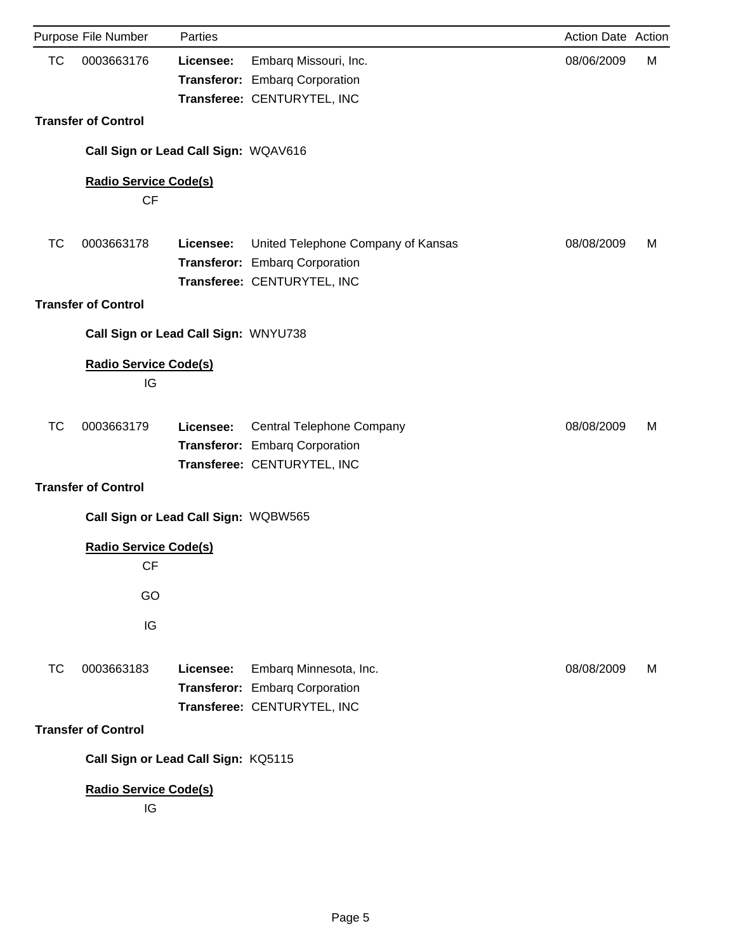|           | Purpose File Number                      | Parties   |                                                                                                     | Action Date Action |   |
|-----------|------------------------------------------|-----------|-----------------------------------------------------------------------------------------------------|--------------------|---|
| <b>TC</b> | 0003663176                               | Licensee: | Embarq Missouri, Inc.<br>Transferor: Embarg Corporation<br>Transferee: CENTURYTEL, INC              | 08/06/2009         | M |
|           | <b>Transfer of Control</b>               |           |                                                                                                     |                    |   |
|           | Call Sign or Lead Call Sign: WQAV616     |           |                                                                                                     |                    |   |
|           | <b>Radio Service Code(s)</b>             |           |                                                                                                     |                    |   |
|           | <b>CF</b>                                |           |                                                                                                     |                    |   |
| ТC        | 0003663178                               | Licensee: | United Telephone Company of Kansas<br>Transferor: Embarq Corporation<br>Transferee: CENTURYTEL, INC | 08/08/2009         | M |
|           | <b>Transfer of Control</b>               |           |                                                                                                     |                    |   |
|           | Call Sign or Lead Call Sign: WNYU738     |           |                                                                                                     |                    |   |
|           | <b>Radio Service Code(s)</b><br>IG       |           |                                                                                                     |                    |   |
| <b>TC</b> | 0003663179                               | Licensee: | Central Telephone Company<br>Transferor: Embarq Corporation<br>Transferee: CENTURYTEL, INC          | 08/08/2009         | м |
|           | <b>Transfer of Control</b>               |           |                                                                                                     |                    |   |
|           | Call Sign or Lead Call Sign: WQBW565     |           |                                                                                                     |                    |   |
|           | <b>Radio Service Code(s)</b><br>CF       |           |                                                                                                     |                    |   |
|           | GO                                       |           |                                                                                                     |                    |   |
|           | IG                                       |           |                                                                                                     |                    |   |
| ТC        | 0003663183<br><b>Transfer of Control</b> | Licensee: | Embarq Minnesota, Inc.<br>Transferor: Embarq Corporation<br>Transferee: CENTURYTEL, INC             | 08/08/2009         | M |
|           |                                          |           |                                                                                                     |                    |   |
|           | Call Sign or Lead Call Sign: KQ5115      |           |                                                                                                     |                    |   |
|           | <b>Radio Service Code(s)</b><br>IG       |           |                                                                                                     |                    |   |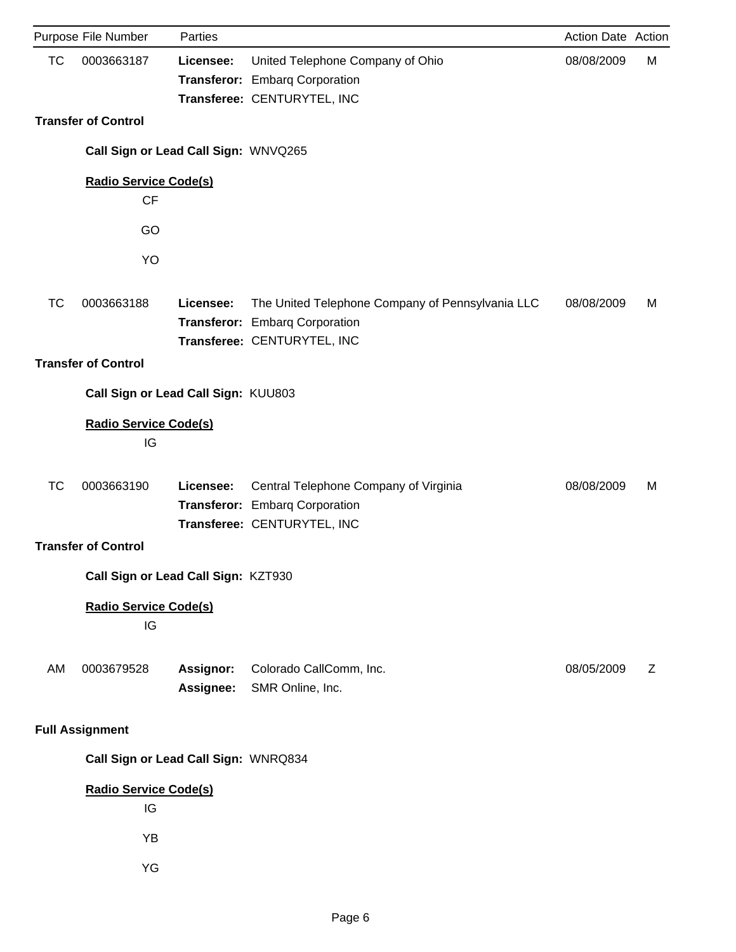|           | Purpose File Number                       | Parties                |                                                                                                                   | Action Date Action |   |
|-----------|-------------------------------------------|------------------------|-------------------------------------------------------------------------------------------------------------------|--------------------|---|
| <b>TC</b> | 0003663187                                | Licensee:              | United Telephone Company of Ohio<br>Transferor: Embarq Corporation<br>Transferee: CENTURYTEL, INC                 | 08/08/2009         | M |
|           | <b>Transfer of Control</b>                |                        |                                                                                                                   |                    |   |
|           | Call Sign or Lead Call Sign: WNVQ265      |                        |                                                                                                                   |                    |   |
|           | <b>Radio Service Code(s)</b><br><b>CF</b> |                        |                                                                                                                   |                    |   |
|           | GO                                        |                        |                                                                                                                   |                    |   |
|           | YO                                        |                        |                                                                                                                   |                    |   |
| TC        | 0003663188                                | Licensee:              | The United Telephone Company of Pennsylvania LLC<br>Transferor: Embarq Corporation<br>Transferee: CENTURYTEL, INC | 08/08/2009         | M |
|           | <b>Transfer of Control</b>                |                        |                                                                                                                   |                    |   |
|           | Call Sign or Lead Call Sign: KUU803       |                        |                                                                                                                   |                    |   |
|           | <b>Radio Service Code(s)</b><br>IG        |                        |                                                                                                                   |                    |   |
| TC        | 0003663190                                | Licensee:              | Central Telephone Company of Virginia<br>Transferor: Embarq Corporation<br>Transferee: CENTURYTEL, INC            | 08/08/2009         | M |
|           | <b>Transfer of Control</b>                |                        |                                                                                                                   |                    |   |
|           | Call Sign or Lead Call Sign: KZT930       |                        |                                                                                                                   |                    |   |
|           | <b>Radio Service Code(s)</b><br>IG        |                        |                                                                                                                   |                    |   |
| AM        | 0003679528                                | Assignor:<br>Assignee: | Colorado CallComm, Inc.<br>SMR Online, Inc.                                                                       | 08/05/2009         | Ζ |
|           | <b>Full Assignment</b>                    |                        |                                                                                                                   |                    |   |
|           | Call Sign or Lead Call Sign: WNRQ834      |                        |                                                                                                                   |                    |   |
|           | <b>Radio Service Code(s)</b><br>IG        |                        |                                                                                                                   |                    |   |
|           | YB                                        |                        |                                                                                                                   |                    |   |
|           | YG                                        |                        |                                                                                                                   |                    |   |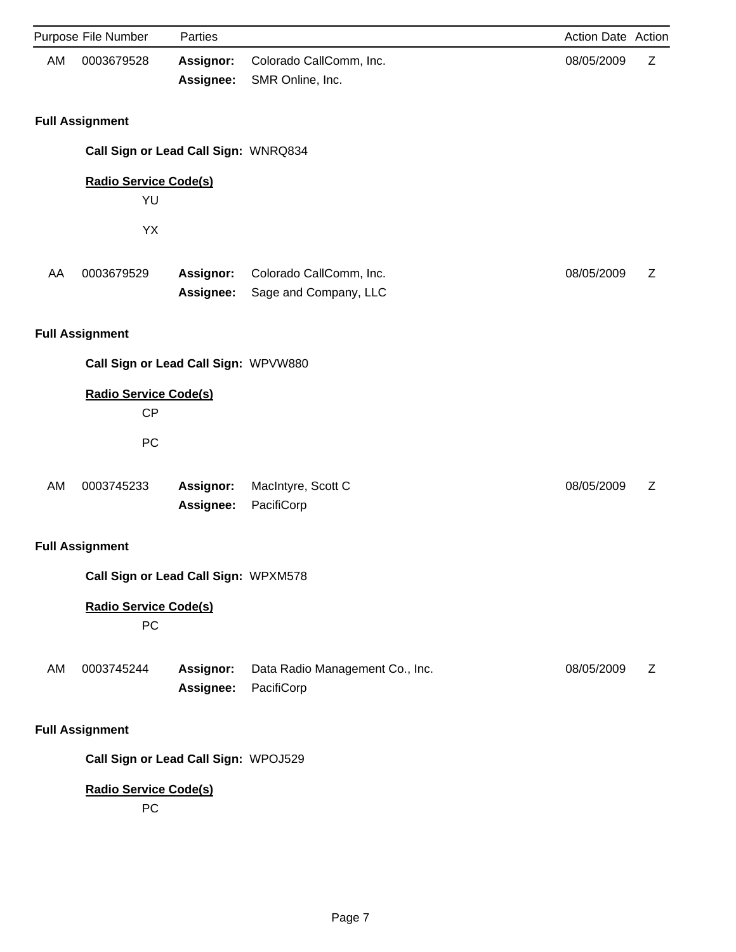|    | Purpose File Number                  | Parties                |                                                  | Action Date Action |   |
|----|--------------------------------------|------------------------|--------------------------------------------------|--------------------|---|
| AM | 0003679528                           | Assignor:<br>Assignee: | Colorado CallComm, Inc.<br>SMR Online, Inc.      | 08/05/2009         | Z |
|    | <b>Full Assignment</b>               |                        |                                                  |                    |   |
|    | Call Sign or Lead Call Sign: WNRQ834 |                        |                                                  |                    |   |
|    | <b>Radio Service Code(s)</b>         |                        |                                                  |                    |   |
|    | YU                                   |                        |                                                  |                    |   |
|    | YX                                   |                        |                                                  |                    |   |
| AA | 0003679529                           | Assignor:<br>Assignee: | Colorado CallComm, Inc.<br>Sage and Company, LLC | 08/05/2009         | Z |
|    | <b>Full Assignment</b>               |                        |                                                  |                    |   |
|    | Call Sign or Lead Call Sign: WPVW880 |                        |                                                  |                    |   |
|    | <b>Radio Service Code(s)</b><br>CP   |                        |                                                  |                    |   |
|    | PC                                   |                        |                                                  |                    |   |
|    |                                      |                        |                                                  |                    |   |
| AM | 0003745233                           | Assignor:<br>Assignee: | MacIntyre, Scott C<br>PacifiCorp                 | 08/05/2009         | Z |
|    | <b>Full Assignment</b>               |                        |                                                  |                    |   |
|    | Call Sign or Lead Call Sign: WPXM578 |                        |                                                  |                    |   |
|    | <b>Radio Service Code(s)</b><br>PC   |                        |                                                  |                    |   |
| AM | 0003745244                           | Assignor:<br>Assignee: | Data Radio Management Co., Inc.<br>PacifiCorp    | 08/05/2009         | Ζ |
|    | <b>Full Assignment</b>               |                        |                                                  |                    |   |
|    | Call Sign or Lead Call Sign: WPOJ529 |                        |                                                  |                    |   |
|    | <b>Radio Service Code(s)</b><br>PC   |                        |                                                  |                    |   |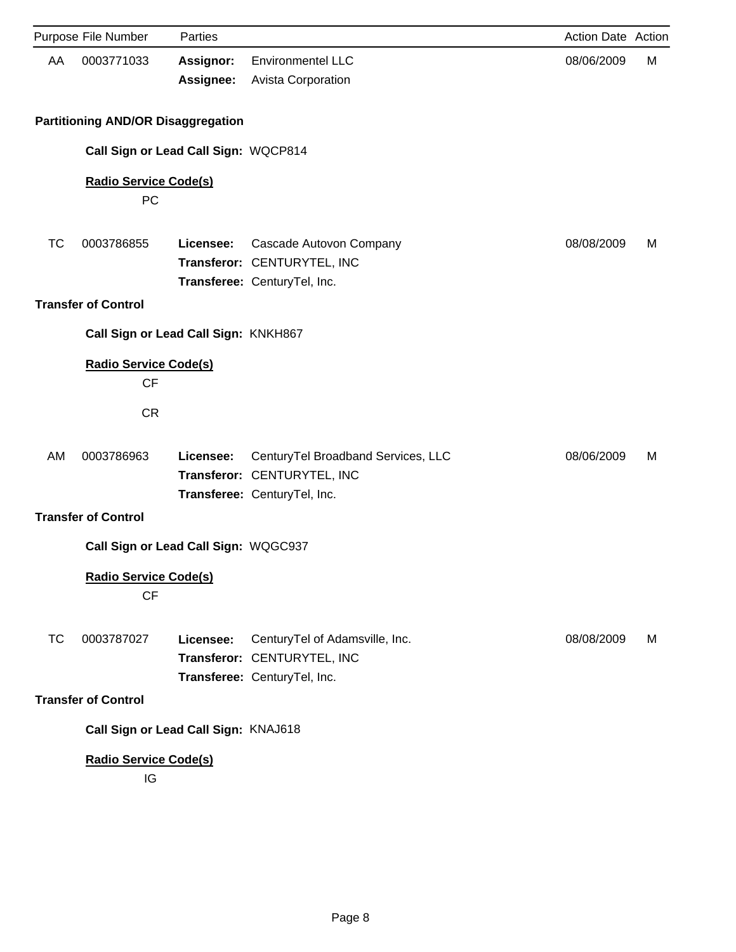|           | Purpose File Number                       | Parties                              |                                                                                                   | Action Date Action |   |
|-----------|-------------------------------------------|--------------------------------------|---------------------------------------------------------------------------------------------------|--------------------|---|
| AA        | 0003771033                                | <b>Assignor:</b><br>Assignee:        | <b>Environmentel LLC</b><br><b>Avista Corporation</b>                                             | 08/06/2009         | М |
|           | <b>Partitioning AND/OR Disaggregation</b> |                                      |                                                                                                   |                    |   |
|           |                                           | Call Sign or Lead Call Sign: WQCP814 |                                                                                                   |                    |   |
|           | <b>Radio Service Code(s)</b><br>PC        |                                      |                                                                                                   |                    |   |
|           |                                           |                                      |                                                                                                   |                    |   |
| TC        | 0003786855                                | Licensee:                            | Cascade Autovon Company<br>Transferor: CENTURYTEL, INC                                            | 08/08/2009         | м |
|           |                                           |                                      | Transferee: CenturyTel, Inc.                                                                      |                    |   |
|           | <b>Transfer of Control</b>                |                                      |                                                                                                   |                    |   |
|           |                                           | Call Sign or Lead Call Sign: KNKH867 |                                                                                                   |                    |   |
|           | <b>Radio Service Code(s)</b><br><b>CF</b> |                                      |                                                                                                   |                    |   |
|           | <b>CR</b>                                 |                                      |                                                                                                   |                    |   |
| AM        | 0003786963                                | Licensee:                            | CenturyTel Broadband Services, LLC<br>Transferor: CENTURYTEL, INC<br>Transferee: CenturyTel, Inc. | 08/06/2009         | м |
|           | <b>Transfer of Control</b>                |                                      |                                                                                                   |                    |   |
|           |                                           | Call Sign or Lead Call Sign: WQGC937 |                                                                                                   |                    |   |
|           | <b>Radio Service Code(s)</b><br>CF        |                                      |                                                                                                   |                    |   |
| <b>TC</b> | 0003787027                                | Licensee:                            | CenturyTel of Adamsville, Inc.<br>Transferor: CENTURYTEL, INC                                     | 08/08/2009         | м |
|           | <b>Transfer of Control</b>                |                                      | Transferee: CenturyTel, Inc.                                                                      |                    |   |
|           |                                           |                                      |                                                                                                   |                    |   |
|           |                                           | Call Sign or Lead Call Sign: KNAJ618 |                                                                                                   |                    |   |
|           | <b>Radio Service Code(s)</b><br>IG        |                                      |                                                                                                   |                    |   |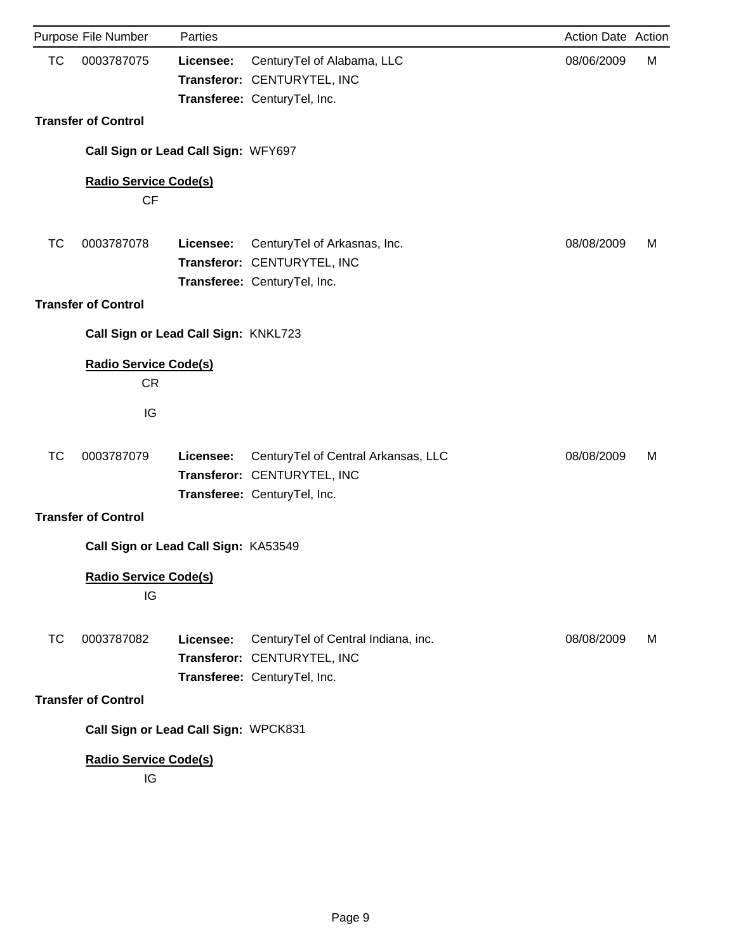|           | Purpose File Number                       | Parties   |                                                                                                    | Action Date Action |   |
|-----------|-------------------------------------------|-----------|----------------------------------------------------------------------------------------------------|--------------------|---|
| <b>TC</b> | 0003787075                                | Licensee: | CenturyTel of Alabama, LLC<br>Transferor: CENTURYTEL, INC<br>Transferee: CenturyTel, Inc.          | 08/06/2009         | М |
|           | <b>Transfer of Control</b>                |           |                                                                                                    |                    |   |
|           | Call Sign or Lead Call Sign: WFY697       |           |                                                                                                    |                    |   |
|           | <b>Radio Service Code(s)</b>              |           |                                                                                                    |                    |   |
|           | CF                                        |           |                                                                                                    |                    |   |
| TC        | 0003787078                                | Licensee: | CenturyTel of Arkasnas, Inc.<br>Transferor: CENTURYTEL, INC<br>Transferee: CenturyTel, Inc.        | 08/08/2009         | M |
|           | <b>Transfer of Control</b>                |           |                                                                                                    |                    |   |
|           | Call Sign or Lead Call Sign: KNKL723      |           |                                                                                                    |                    |   |
|           | <b>Radio Service Code(s)</b><br><b>CR</b> |           |                                                                                                    |                    |   |
|           | IG                                        |           |                                                                                                    |                    |   |
| TC        | 0003787079                                | Licensee: | CenturyTel of Central Arkansas, LLC<br>Transferor: CENTURYTEL, INC<br>Transferee: CenturyTel, Inc. | 08/08/2009         | м |
|           | <b>Transfer of Control</b>                |           |                                                                                                    |                    |   |
|           | Call Sign or Lead Call Sign: KA53549      |           |                                                                                                    |                    |   |
|           | <b>Radio Service Code(s)</b><br>IG        |           |                                                                                                    |                    |   |
| <b>TC</b> | 0003787082                                | Licensee: | CenturyTel of Central Indiana, inc.<br>Transferor: CENTURYTEL, INC<br>Transferee: CenturyTel, Inc. | 08/08/2009         | M |
|           | <b>Transfer of Control</b>                |           |                                                                                                    |                    |   |
|           | Call Sign or Lead Call Sign: WPCK831      |           |                                                                                                    |                    |   |
|           | <b>Radio Service Code(s)</b><br>IG        |           |                                                                                                    |                    |   |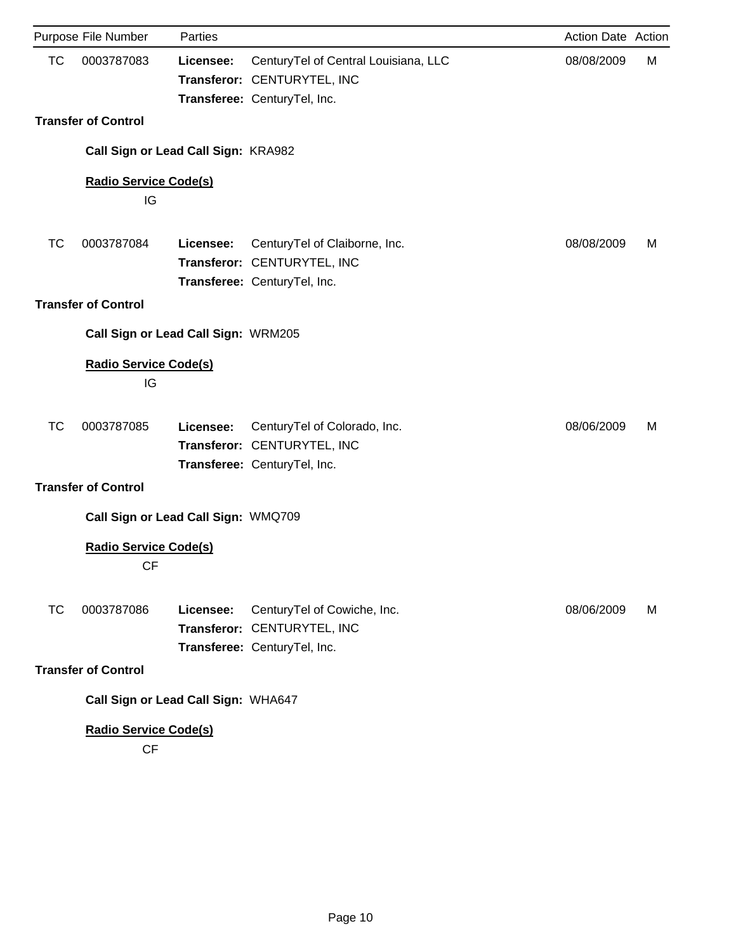|           | Purpose File Number                 | Parties   |                                                                                                     | Action Date Action |   |
|-----------|-------------------------------------|-----------|-----------------------------------------------------------------------------------------------------|--------------------|---|
| <b>TC</b> | 0003787083                          | Licensee: | CenturyTel of Central Louisiana, LLC<br>Transferor: CENTURYTEL, INC<br>Transferee: CenturyTel, Inc. | 08/08/2009         | М |
|           | <b>Transfer of Control</b>          |           |                                                                                                     |                    |   |
|           |                                     |           |                                                                                                     |                    |   |
|           | Call Sign or Lead Call Sign: KRA982 |           |                                                                                                     |                    |   |
|           | <b>Radio Service Code(s)</b>        |           |                                                                                                     |                    |   |
|           | IG                                  |           |                                                                                                     |                    |   |
| TC        | 0003787084                          | Licensee: | CenturyTel of Claiborne, Inc.                                                                       | 08/08/2009         | м |
|           |                                     |           | Transferor: CENTURYTEL, INC                                                                         |                    |   |
|           |                                     |           | Transferee: CenturyTel, Inc.                                                                        |                    |   |
|           | <b>Transfer of Control</b>          |           |                                                                                                     |                    |   |
|           | Call Sign or Lead Call Sign: WRM205 |           |                                                                                                     |                    |   |
|           | <b>Radio Service Code(s)</b>        |           |                                                                                                     |                    |   |
|           | IG                                  |           |                                                                                                     |                    |   |
|           |                                     |           |                                                                                                     |                    |   |
| ТC        | 0003787085                          | Licensee: | CenturyTel of Colorado, Inc.<br>Transferor: CENTURYTEL, INC                                         | 08/06/2009         | м |
|           |                                     |           | Transferee: CenturyTel, Inc.                                                                        |                    |   |
|           | <b>Transfer of Control</b>          |           |                                                                                                     |                    |   |
|           | Call Sign or Lead Call Sign: WMQ709 |           |                                                                                                     |                    |   |
|           | <b>Radio Service Code(s)</b>        |           |                                                                                                     |                    |   |
|           | CF                                  |           |                                                                                                     |                    |   |
|           |                                     |           |                                                                                                     |                    |   |
| <b>TC</b> | 0003787086                          | Licensee: | CenturyTel of Cowiche, Inc.                                                                         | 08/06/2009         | M |
|           |                                     |           | Transferor: CENTURYTEL, INC                                                                         |                    |   |
|           | <b>Transfer of Control</b>          |           | Transferee: CenturyTel, Inc.                                                                        |                    |   |
|           |                                     |           |                                                                                                     |                    |   |
|           | Call Sign or Lead Call Sign: WHA647 |           |                                                                                                     |                    |   |
|           | <b>Radio Service Code(s)</b>        |           |                                                                                                     |                    |   |

CF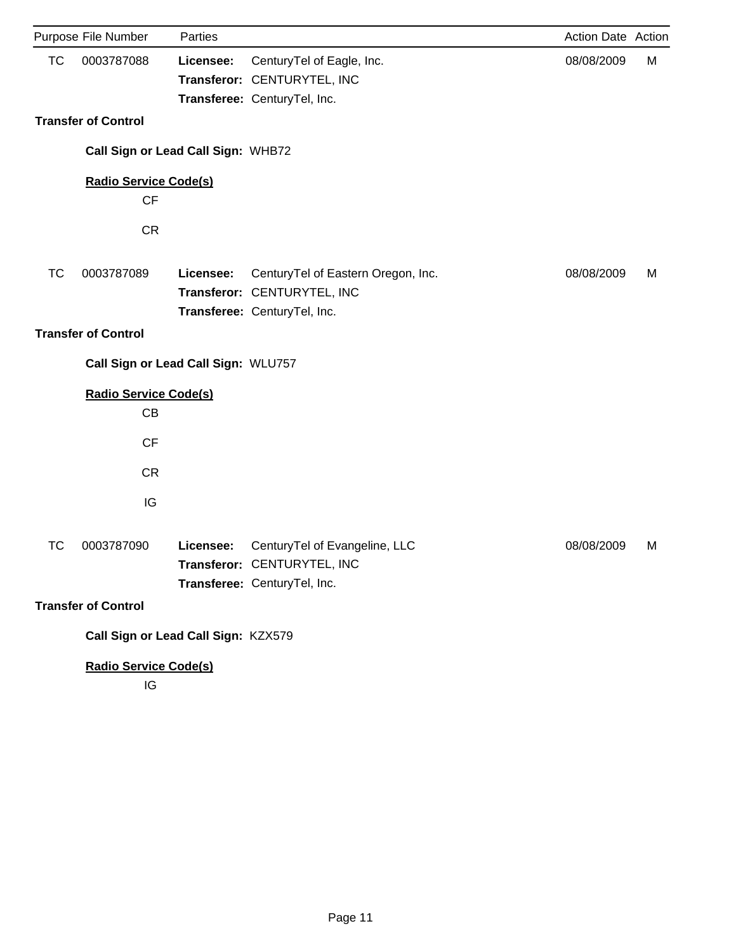|           | Purpose File Number                 | Parties   |                                                                                                   | Action Date Action |   |
|-----------|-------------------------------------|-----------|---------------------------------------------------------------------------------------------------|--------------------|---|
| <b>TC</b> | 0003787088                          | Licensee: | CenturyTel of Eagle, Inc.                                                                         | 08/08/2009         | M |
|           |                                     |           | Transferor: CENTURYTEL, INC                                                                       |                    |   |
|           |                                     |           | Transferee: CenturyTel, Inc.                                                                      |                    |   |
|           | <b>Transfer of Control</b>          |           |                                                                                                   |                    |   |
|           | Call Sign or Lead Call Sign: WHB72  |           |                                                                                                   |                    |   |
|           | <b>Radio Service Code(s)</b>        |           |                                                                                                   |                    |   |
|           | <b>CF</b>                           |           |                                                                                                   |                    |   |
|           | <b>CR</b>                           |           |                                                                                                   |                    |   |
| <b>TC</b> | 0003787089                          | Licensee: | CenturyTel of Eastern Oregon, Inc.<br>Transferor: CENTURYTEL, INC<br>Transferee: CenturyTel, Inc. | 08/08/2009         | М |
|           | <b>Transfer of Control</b>          |           |                                                                                                   |                    |   |
|           | Call Sign or Lead Call Sign: WLU757 |           |                                                                                                   |                    |   |
|           | <b>Radio Service Code(s)</b>        |           |                                                                                                   |                    |   |
|           | CB                                  |           |                                                                                                   |                    |   |
|           | CF                                  |           |                                                                                                   |                    |   |
|           | <b>CR</b>                           |           |                                                                                                   |                    |   |
|           | IG                                  |           |                                                                                                   |                    |   |
| TC        | 0003787090                          | Licensee: | CenturyTel of Evangeline, LLC<br>Transferor: CENTURYTEL, INC<br>Transferee: CenturyTel, Inc.      | 08/08/2009         | M |
|           | <b>Transfer of Control</b>          |           |                                                                                                   |                    |   |
|           | Call Sign or Lead Call Sign: KZX579 |           |                                                                                                   |                    |   |
|           | <b>Radio Service Code(s)</b><br>IG  |           |                                                                                                   |                    |   |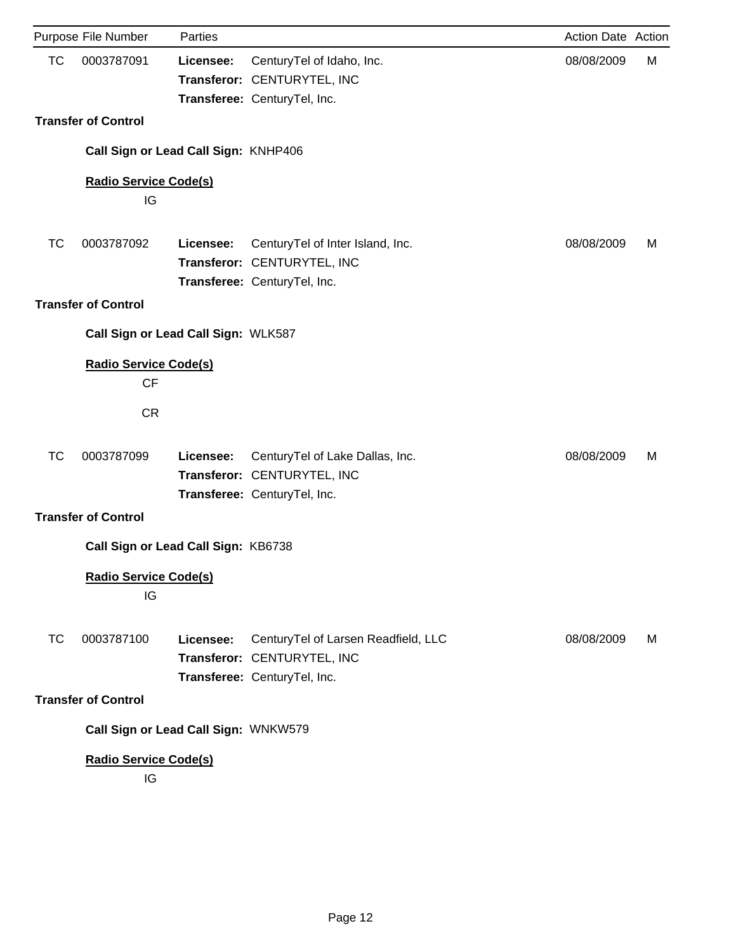|           | Purpose File Number                       | Parties   |                                                                                                 | Action Date Action |   |
|-----------|-------------------------------------------|-----------|-------------------------------------------------------------------------------------------------|--------------------|---|
| <b>TC</b> | 0003787091                                | Licensee: | CenturyTel of Idaho, Inc.<br>Transferor: CENTURYTEL, INC<br>Transferee: CenturyTel, Inc.        | 08/08/2009         | М |
|           | <b>Transfer of Control</b>                |           |                                                                                                 |                    |   |
|           | Call Sign or Lead Call Sign: KNHP406      |           |                                                                                                 |                    |   |
|           | <b>Radio Service Code(s)</b><br>IG        |           |                                                                                                 |                    |   |
|           |                                           |           |                                                                                                 |                    |   |
| TC        | 0003787092                                | Licensee: | CenturyTel of Inter Island, Inc.<br>Transferor: CENTURYTEL, INC<br>Transferee: CenturyTel, Inc. | 08/08/2009         | M |
|           | <b>Transfer of Control</b>                |           |                                                                                                 |                    |   |
|           | Call Sign or Lead Call Sign: WLK587       |           |                                                                                                 |                    |   |
|           | <b>Radio Service Code(s)</b><br><b>CF</b> |           |                                                                                                 |                    |   |
|           | <b>CR</b>                                 |           |                                                                                                 |                    |   |
| TC        | 0003787099                                | Licensee: | CenturyTel of Lake Dallas, Inc.<br>Transferor: CENTURYTEL, INC<br>Transferee: CenturyTel, Inc.  | 08/08/2009         | м |
|           | <b>Transfer of Control</b>                |           |                                                                                                 |                    |   |
|           | Call Sign or Lead Call Sign: KB6738       |           |                                                                                                 |                    |   |
|           | <b>Radio Service Code(s)</b><br>IG        |           |                                                                                                 |                    |   |
| ТC        | 0003787100                                | Licensee: | CenturyTel of Larsen Readfield, LLC<br>Transferor: CENTURYTEL, INC                              | 08/08/2009         | M |
|           | <b>Transfer of Control</b>                |           | Transferee: CenturyTel, Inc.                                                                    |                    |   |
|           |                                           |           |                                                                                                 |                    |   |
|           | Call Sign or Lead Call Sign: WNKW579      |           |                                                                                                 |                    |   |
|           | <b>Radio Service Code(s)</b><br>IG        |           |                                                                                                 |                    |   |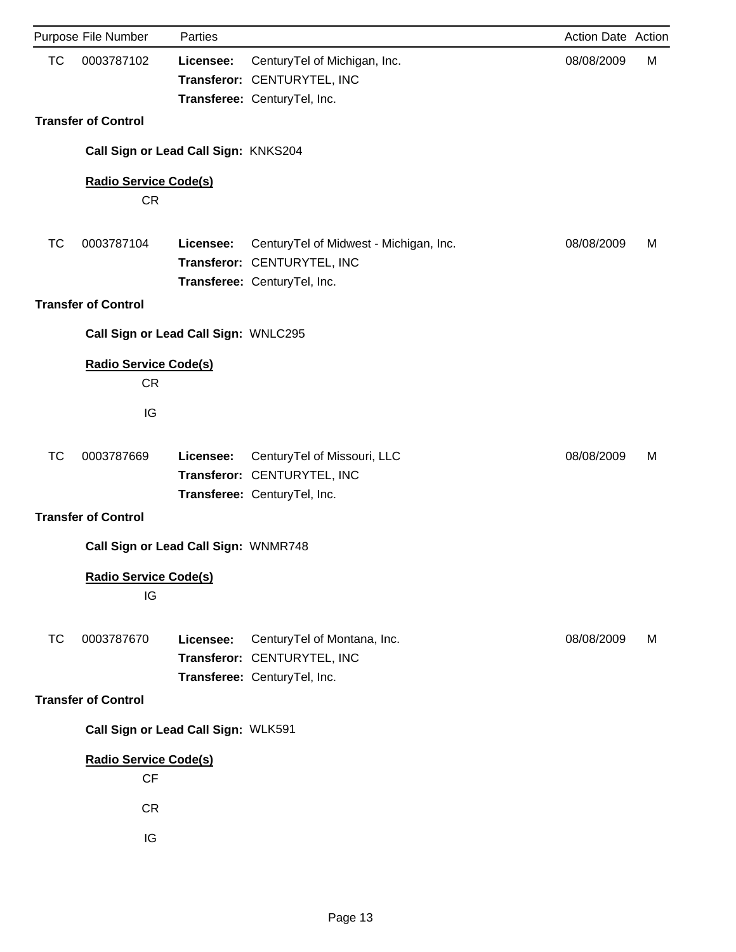|           | Purpose File Number                       | Parties                              |                                                                                                       | Action Date Action |   |
|-----------|-------------------------------------------|--------------------------------------|-------------------------------------------------------------------------------------------------------|--------------------|---|
| <b>TC</b> | 0003787102                                | Licensee:                            | CenturyTel of Michigan, Inc.<br>Transferor: CENTURYTEL, INC<br>Transferee: CenturyTel, Inc.           | 08/08/2009         | М |
|           | <b>Transfer of Control</b>                |                                      |                                                                                                       |                    |   |
|           |                                           | Call Sign or Lead Call Sign: KNKS204 |                                                                                                       |                    |   |
|           | <b>Radio Service Code(s)</b><br><b>CR</b> |                                      |                                                                                                       |                    |   |
| <b>TC</b> | 0003787104                                | Licensee:                            | CenturyTel of Midwest - Michigan, Inc.<br>Transferor: CENTURYTEL, INC<br>Transferee: CenturyTel, Inc. | 08/08/2009         | м |
|           | <b>Transfer of Control</b>                |                                      |                                                                                                       |                    |   |
|           |                                           | Call Sign or Lead Call Sign: WNLC295 |                                                                                                       |                    |   |
|           | <b>Radio Service Code(s)</b><br><b>CR</b> |                                      |                                                                                                       |                    |   |
|           | IG                                        |                                      |                                                                                                       |                    |   |
| TC        | 0003787669                                | Licensee:                            | CenturyTel of Missouri, LLC<br>Transferor: CENTURYTEL, INC<br>Transferee: CenturyTel, Inc.            | 08/08/2009         | м |
|           | <b>Transfer of Control</b>                |                                      |                                                                                                       |                    |   |
|           |                                           | Call Sign or Lead Call Sign: WNMR748 |                                                                                                       |                    |   |
|           | <b>Radio Service Code(s)</b><br>IG        |                                      |                                                                                                       |                    |   |
| <b>TC</b> | 0003787670                                | Licensee:                            | CenturyTel of Montana, Inc.<br>Transferor: CENTURYTEL, INC<br>Transferee: CenturyTel, Inc.            | 08/08/2009         | M |
|           | <b>Transfer of Control</b>                |                                      |                                                                                                       |                    |   |
|           |                                           | Call Sign or Lead Call Sign: WLK591  |                                                                                                       |                    |   |
|           | <b>Radio Service Code(s)</b><br><b>CF</b> |                                      |                                                                                                       |                    |   |
|           | <b>CR</b>                                 |                                      |                                                                                                       |                    |   |
|           | IG                                        |                                      |                                                                                                       |                    |   |
|           |                                           |                                      |                                                                                                       |                    |   |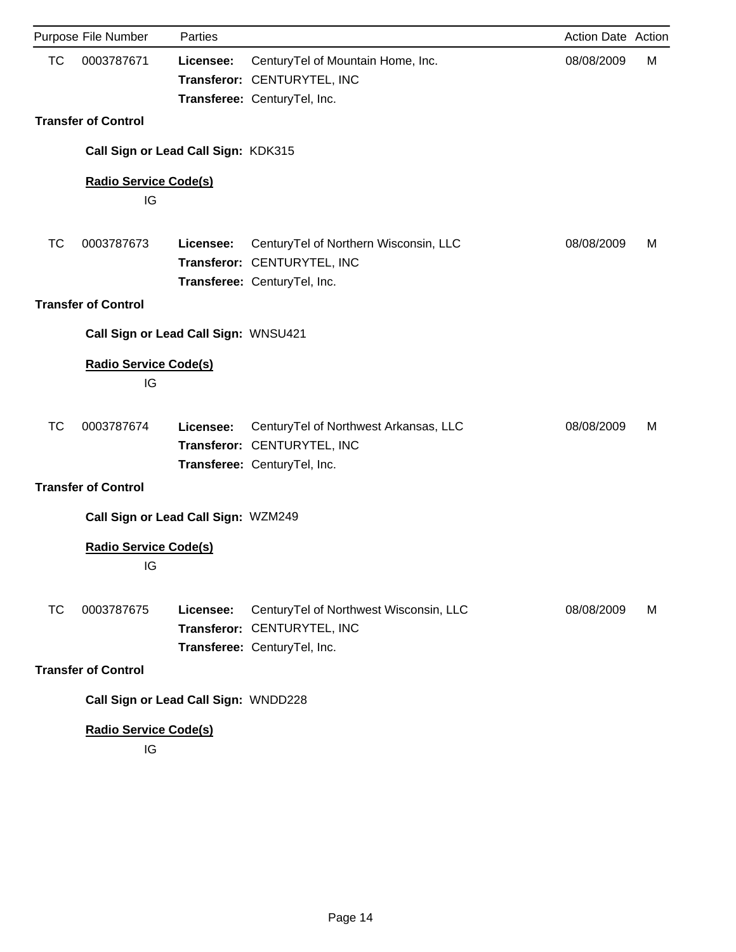|    | Purpose File Number                  | Parties   |                                                                                                       | Action Date Action |   |
|----|--------------------------------------|-----------|-------------------------------------------------------------------------------------------------------|--------------------|---|
| TC | 0003787671                           | Licensee: | CenturyTel of Mountain Home, Inc.<br>Transferor: CENTURYTEL, INC<br>Transferee: CenturyTel, Inc.      | 08/08/2009         | М |
|    | <b>Transfer of Control</b>           |           |                                                                                                       |                    |   |
|    | Call Sign or Lead Call Sign: KDK315  |           |                                                                                                       |                    |   |
|    | <b>Radio Service Code(s)</b><br>IG   |           |                                                                                                       |                    |   |
| ТC | 0003787673                           | Licensee: | CenturyTel of Northern Wisconsin, LLC<br>Transferor: CENTURYTEL, INC<br>Transferee: CenturyTel, Inc.  | 08/08/2009         | M |
|    | <b>Transfer of Control</b>           |           |                                                                                                       |                    |   |
|    | Call Sign or Lead Call Sign: WNSU421 |           |                                                                                                       |                    |   |
|    | <b>Radio Service Code(s)</b><br>IG   |           |                                                                                                       |                    |   |
| ТC | 0003787674                           | Licensee: | CenturyTel of Northwest Arkansas, LLC<br>Transferor: CENTURYTEL, INC<br>Transferee: CenturyTel, Inc.  | 08/08/2009         | M |
|    | <b>Transfer of Control</b>           |           |                                                                                                       |                    |   |
|    | Call Sign or Lead Call Sign: WZM249  |           |                                                                                                       |                    |   |
|    | <b>Radio Service Code(s)</b><br>IG   |           |                                                                                                       |                    |   |
| ТC | 0003787675                           | Licensee: | CenturyTel of Northwest Wisconsin, LLC<br>Transferor: CENTURYTEL, INC<br>Transferee: CenturyTel, Inc. | 08/08/2009         | М |
|    | <b>Transfer of Control</b>           |           |                                                                                                       |                    |   |
|    | Call Sign or Lead Call Sign: WNDD228 |           |                                                                                                       |                    |   |
|    | <b>Radio Service Code(s)</b>         |           |                                                                                                       |                    |   |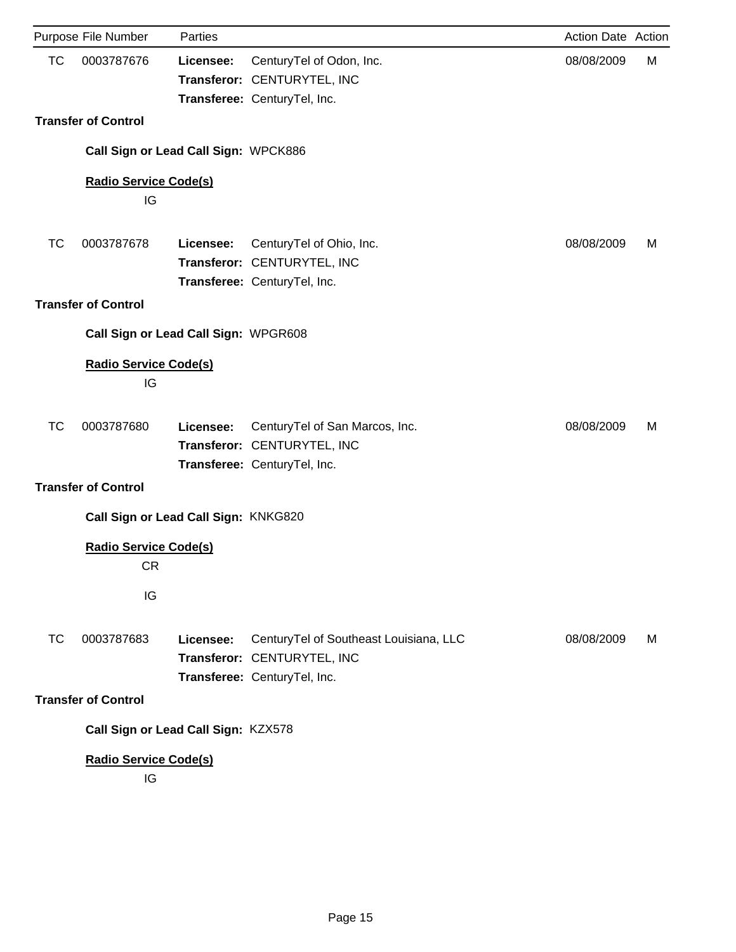|           | Purpose File Number                       | Parties   |                                                                                                       | Action Date Action |   |
|-----------|-------------------------------------------|-----------|-------------------------------------------------------------------------------------------------------|--------------------|---|
| <b>TC</b> | 0003787676                                | Licensee: | CenturyTel of Odon, Inc.<br>Transferor: CENTURYTEL, INC<br>Transferee: CenturyTel, Inc.               | 08/08/2009         | М |
|           | <b>Transfer of Control</b>                |           |                                                                                                       |                    |   |
|           | Call Sign or Lead Call Sign: WPCK886      |           |                                                                                                       |                    |   |
|           | <b>Radio Service Code(s)</b><br>IG        |           |                                                                                                       |                    |   |
| TC        | 0003787678                                | Licensee: | CenturyTel of Ohio, Inc.<br>Transferor: CENTURYTEL, INC<br>Transferee: CenturyTel, Inc.               | 08/08/2009         | M |
|           | <b>Transfer of Control</b>                |           |                                                                                                       |                    |   |
|           | Call Sign or Lead Call Sign: WPGR608      |           |                                                                                                       |                    |   |
|           | <b>Radio Service Code(s)</b><br>IG        |           |                                                                                                       |                    |   |
| TC        | 0003787680                                | Licensee: | CenturyTel of San Marcos, Inc.<br>Transferor: CENTURYTEL, INC<br>Transferee: CenturyTel, Inc.         | 08/08/2009         | M |
|           | <b>Transfer of Control</b>                |           |                                                                                                       |                    |   |
|           | Call Sign or Lead Call Sign: KNKG820      |           |                                                                                                       |                    |   |
|           | <b>Radio Service Code(s)</b><br><b>CR</b> |           |                                                                                                       |                    |   |
|           | IG                                        |           |                                                                                                       |                    |   |
| ТC        | 0003787683                                | Licensee: | CenturyTel of Southeast Louisiana, LLC<br>Transferor: CENTURYTEL, INC<br>Transferee: CenturyTel, Inc. | 08/08/2009         | M |
|           | <b>Transfer of Control</b>                |           |                                                                                                       |                    |   |
|           | Call Sign or Lead Call Sign: KZX578       |           |                                                                                                       |                    |   |
|           | <b>Radio Service Code(s)</b><br>IG        |           |                                                                                                       |                    |   |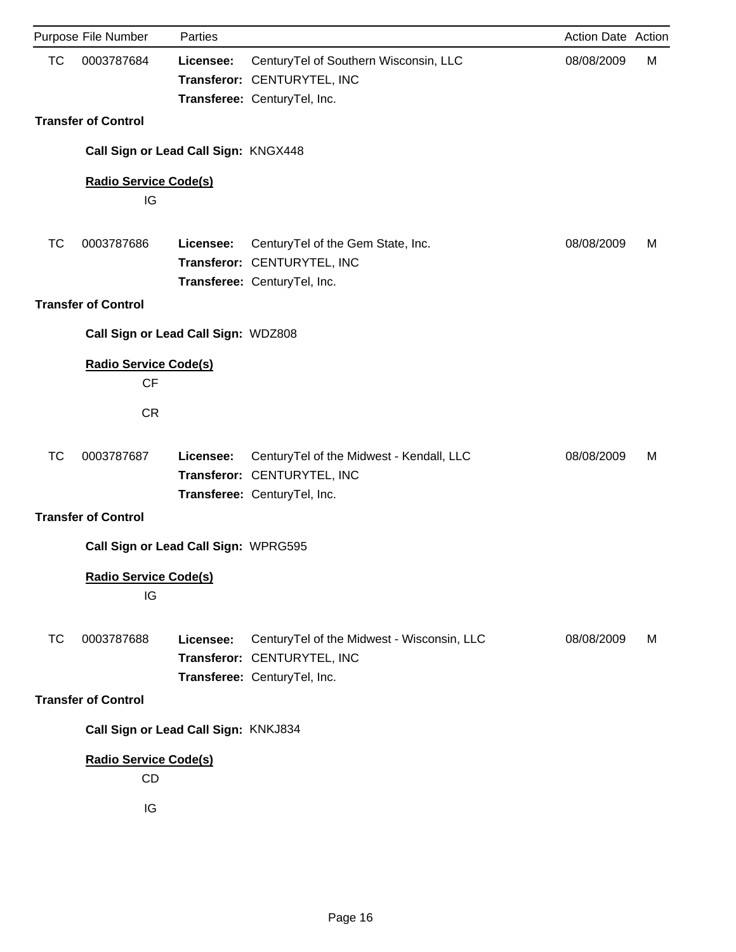|           | Purpose File Number                                    | Parties   |                                                                                                           | Action Date Action |   |
|-----------|--------------------------------------------------------|-----------|-----------------------------------------------------------------------------------------------------------|--------------------|---|
| <b>TC</b> | 0003787684                                             | Licensee: | CenturyTel of Southern Wisconsin, LLC<br>Transferor: CENTURYTEL, INC<br>Transferee: CenturyTel, Inc.      | 08/08/2009         | М |
|           | <b>Transfer of Control</b>                             |           |                                                                                                           |                    |   |
|           | Call Sign or Lead Call Sign: KNGX448                   |           |                                                                                                           |                    |   |
|           | <b>Radio Service Code(s)</b><br>IG                     |           |                                                                                                           |                    |   |
| ТC        | 0003787686                                             | Licensee: | CenturyTel of the Gem State, Inc.<br>Transferor: CENTURYTEL, INC<br>Transferee: CenturyTel, Inc.          | 08/08/2009         | M |
|           | <b>Transfer of Control</b>                             |           |                                                                                                           |                    |   |
|           | Call Sign or Lead Call Sign: WDZ808                    |           |                                                                                                           |                    |   |
|           | <b>Radio Service Code(s)</b><br><b>CF</b><br><b>CR</b> |           |                                                                                                           |                    |   |
| ТC        | 0003787687                                             | Licensee: | CenturyTel of the Midwest - Kendall, LLC<br>Transferor: CENTURYTEL, INC<br>Transferee: CenturyTel, Inc.   | 08/08/2009         | M |
|           | <b>Transfer of Control</b>                             |           |                                                                                                           |                    |   |
|           | Call Sign or Lead Call Sign: WPRG595                   |           |                                                                                                           |                    |   |
|           | <b>Radio Service Code(s)</b><br>IG                     |           |                                                                                                           |                    |   |
| ТC        | 0003787688                                             | Licensee: | CenturyTel of the Midwest - Wisconsin, LLC<br>Transferor: CENTURYTEL, INC<br>Transferee: CenturyTel, Inc. | 08/08/2009         | M |
|           | <b>Transfer of Control</b>                             |           |                                                                                                           |                    |   |
|           | Call Sign or Lead Call Sign: KNKJ834                   |           |                                                                                                           |                    |   |
|           | <b>Radio Service Code(s)</b><br><b>CD</b><br>IG        |           |                                                                                                           |                    |   |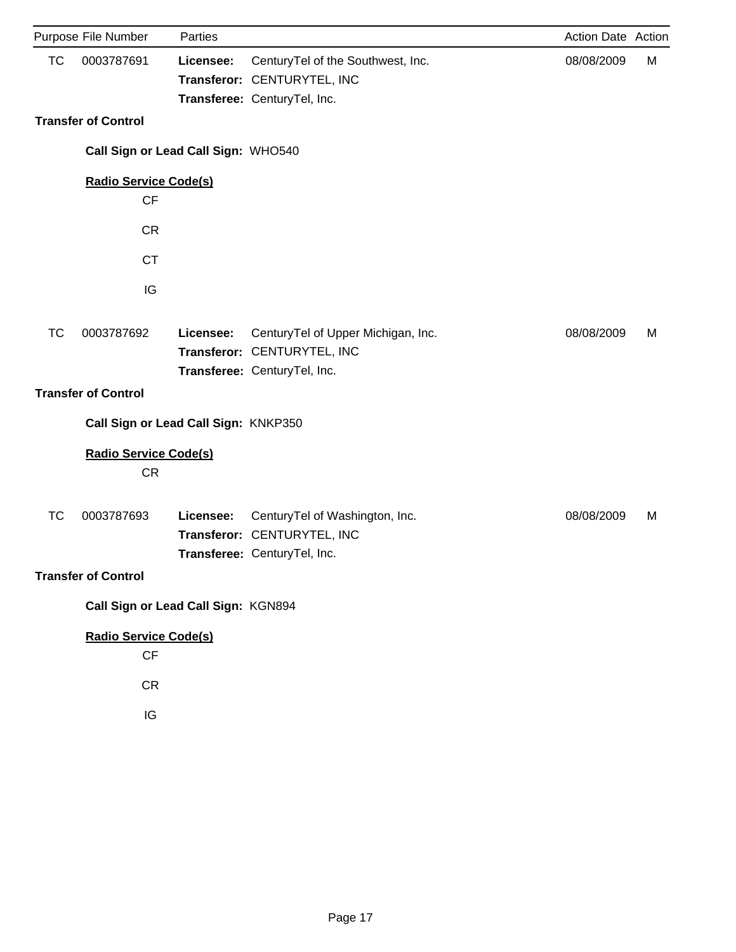|           | Purpose File Number                             | Parties   |                                                                                                   | Action Date Action |   |
|-----------|-------------------------------------------------|-----------|---------------------------------------------------------------------------------------------------|--------------------|---|
| <b>TC</b> | 0003787691                                      | Licensee: | CenturyTel of the Southwest, Inc.<br>Transferor: CENTURYTEL, INC<br>Transferee: CenturyTel, Inc.  | 08/08/2009         | M |
|           | <b>Transfer of Control</b>                      |           |                                                                                                   |                    |   |
|           | Call Sign or Lead Call Sign: WHO540             |           |                                                                                                   |                    |   |
|           | <b>Radio Service Code(s)</b><br>CF              |           |                                                                                                   |                    |   |
|           | <b>CR</b>                                       |           |                                                                                                   |                    |   |
|           | <b>CT</b>                                       |           |                                                                                                   |                    |   |
|           | IG                                              |           |                                                                                                   |                    |   |
| <b>TC</b> | 0003787692                                      | Licensee: | CenturyTel of Upper Michigan, Inc.<br>Transferor: CENTURYTEL, INC<br>Transferee: CenturyTel, Inc. | 08/08/2009         | М |
|           | <b>Transfer of Control</b>                      |           |                                                                                                   |                    |   |
|           | Call Sign or Lead Call Sign: KNKP350            |           |                                                                                                   |                    |   |
|           | <b>Radio Service Code(s)</b><br><b>CR</b>       |           |                                                                                                   |                    |   |
| <b>TC</b> | 0003787693                                      | Licensee: | CenturyTel of Washington, Inc.<br>Transferor: CENTURYTEL, INC<br>Transferee: CenturyTel, Inc.     | 08/08/2009         | M |
|           | <b>Transfer of Control</b>                      |           |                                                                                                   |                    |   |
|           | Call Sign or Lead Call Sign: KGN894             |           |                                                                                                   |                    |   |
|           | <b>Radio Service Code(s)</b><br><b>CF</b><br>CR |           |                                                                                                   |                    |   |
|           | IG                                              |           |                                                                                                   |                    |   |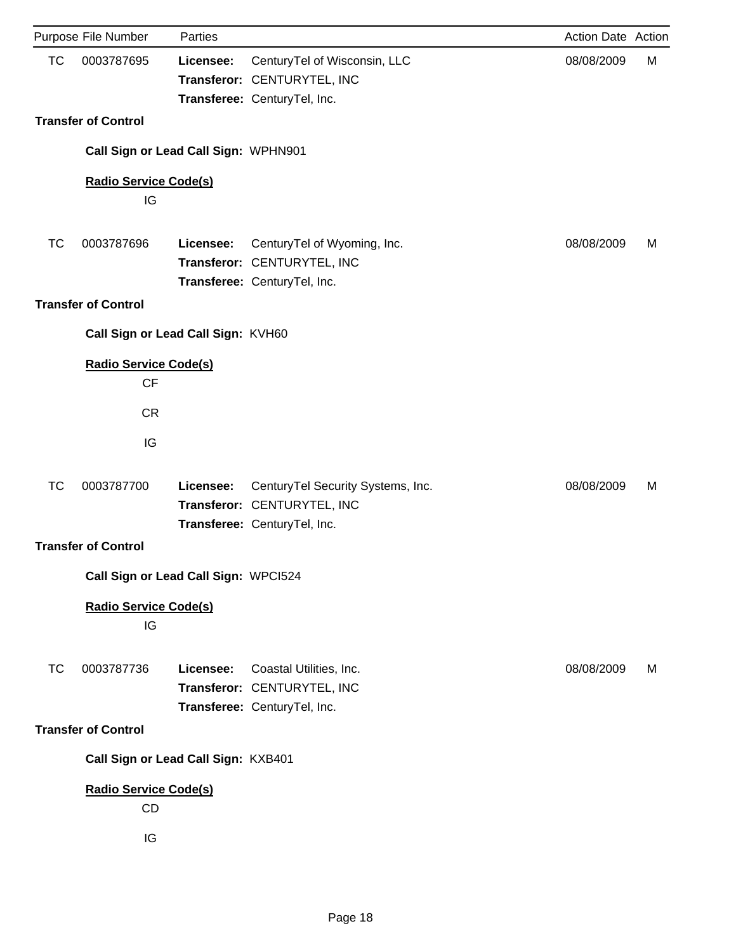|           | Purpose File Number                       | Parties   |                                                                                                  | Action Date Action |   |
|-----------|-------------------------------------------|-----------|--------------------------------------------------------------------------------------------------|--------------------|---|
| <b>TC</b> | 0003787695                                | Licensee: | CenturyTel of Wisconsin, LLC<br>Transferor: CENTURYTEL, INC<br>Transferee: CenturyTel, Inc.      | 08/08/2009         | М |
|           | <b>Transfer of Control</b>                |           |                                                                                                  |                    |   |
|           | Call Sign or Lead Call Sign: WPHN901      |           |                                                                                                  |                    |   |
|           | <b>Radio Service Code(s)</b><br>IG        |           |                                                                                                  |                    |   |
| <b>TC</b> | 0003787696                                | Licensee: | CenturyTel of Wyoming, Inc.<br>Transferor: CENTURYTEL, INC<br>Transferee: CenturyTel, Inc.       | 08/08/2009         | М |
|           | <b>Transfer of Control</b>                |           |                                                                                                  |                    |   |
|           | Call Sign or Lead Call Sign: KVH60        |           |                                                                                                  |                    |   |
|           | <b>Radio Service Code(s)</b><br><b>CF</b> |           |                                                                                                  |                    |   |
|           | <b>CR</b>                                 |           |                                                                                                  |                    |   |
|           | IG                                        |           |                                                                                                  |                    |   |
| <b>TC</b> | 0003787700                                | Licensee: | CenturyTel Security Systems, Inc.<br>Transferor: CENTURYTEL, INC<br>Transferee: CenturyTel, Inc. | 08/08/2009         | M |
|           | <b>Transfer of Control</b>                |           |                                                                                                  |                    |   |
|           | Call Sign or Lead Call Sign: WPCI524      |           |                                                                                                  |                    |   |
|           | <b>Radio Service Code(s)</b><br>IG        |           |                                                                                                  |                    |   |
| <b>TC</b> | 0003787736                                | Licensee: | Coastal Utilities, Inc.<br>Transferor: CENTURYTEL, INC<br>Transferee: CenturyTel, Inc.           | 08/08/2009         | M |
|           | <b>Transfer of Control</b>                |           |                                                                                                  |                    |   |
|           | Call Sign or Lead Call Sign: KXB401       |           |                                                                                                  |                    |   |
|           | <b>Radio Service Code(s)</b><br>CD        |           |                                                                                                  |                    |   |
|           | IG                                        |           |                                                                                                  |                    |   |
|           |                                           |           |                                                                                                  |                    |   |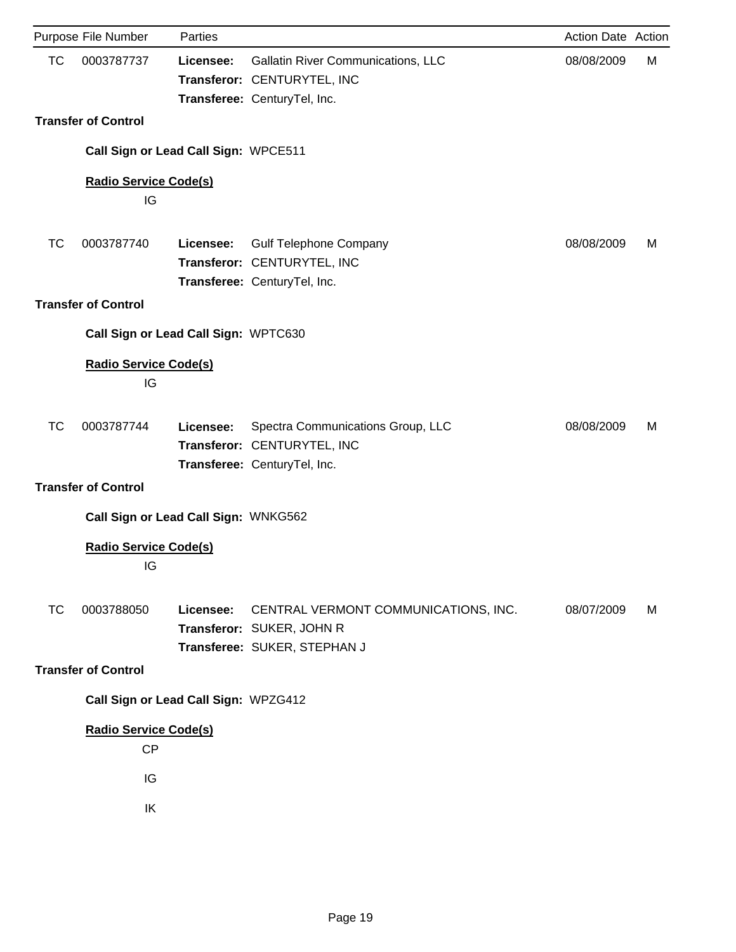|           | Purpose File Number                  | Parties   |                                                                                                   | Action Date Action |   |
|-----------|--------------------------------------|-----------|---------------------------------------------------------------------------------------------------|--------------------|---|
| <b>TC</b> | 0003787737                           | Licensee: | Gallatin River Communications, LLC<br>Transferor: CENTURYTEL, INC<br>Transferee: CenturyTel, Inc. | 08/08/2009         | М |
|           | <b>Transfer of Control</b>           |           |                                                                                                   |                    |   |
|           | Call Sign or Lead Call Sign: WPCE511 |           |                                                                                                   |                    |   |
|           | <b>Radio Service Code(s)</b><br>IG   |           |                                                                                                   |                    |   |
| <b>TC</b> | 0003787740                           | Licensee: | <b>Gulf Telephone Company</b><br>Transferor: CENTURYTEL, INC<br>Transferee: CenturyTel, Inc.      | 08/08/2009         | M |
|           | <b>Transfer of Control</b>           |           |                                                                                                   |                    |   |
|           | Call Sign or Lead Call Sign: WPTC630 |           |                                                                                                   |                    |   |
|           | <b>Radio Service Code(s)</b><br>IG   |           |                                                                                                   |                    |   |
| TC        | 0003787744                           | Licensee: | Spectra Communications Group, LLC<br>Transferor: CENTURYTEL, INC<br>Transferee: CenturyTel, Inc.  | 08/08/2009         | М |
|           | <b>Transfer of Control</b>           |           |                                                                                                   |                    |   |
|           | Call Sign or Lead Call Sign: WNKG562 |           |                                                                                                   |                    |   |
|           | <b>Radio Service Code(s)</b><br>IG   |           |                                                                                                   |                    |   |
| ТC        | 0003788050                           | Licensee: | CENTRAL VERMONT COMMUNICATIONS, INC.<br>Transferor: SUKER, JOHN R<br>Transferee: SUKER, STEPHAN J | 08/07/2009         | М |
|           | <b>Transfer of Control</b>           |           |                                                                                                   |                    |   |
|           | Call Sign or Lead Call Sign: WPZG412 |           |                                                                                                   |                    |   |
|           | <b>Radio Service Code(s)</b><br>CP   |           |                                                                                                   |                    |   |
|           | IG                                   |           |                                                                                                   |                    |   |
|           | IK                                   |           |                                                                                                   |                    |   |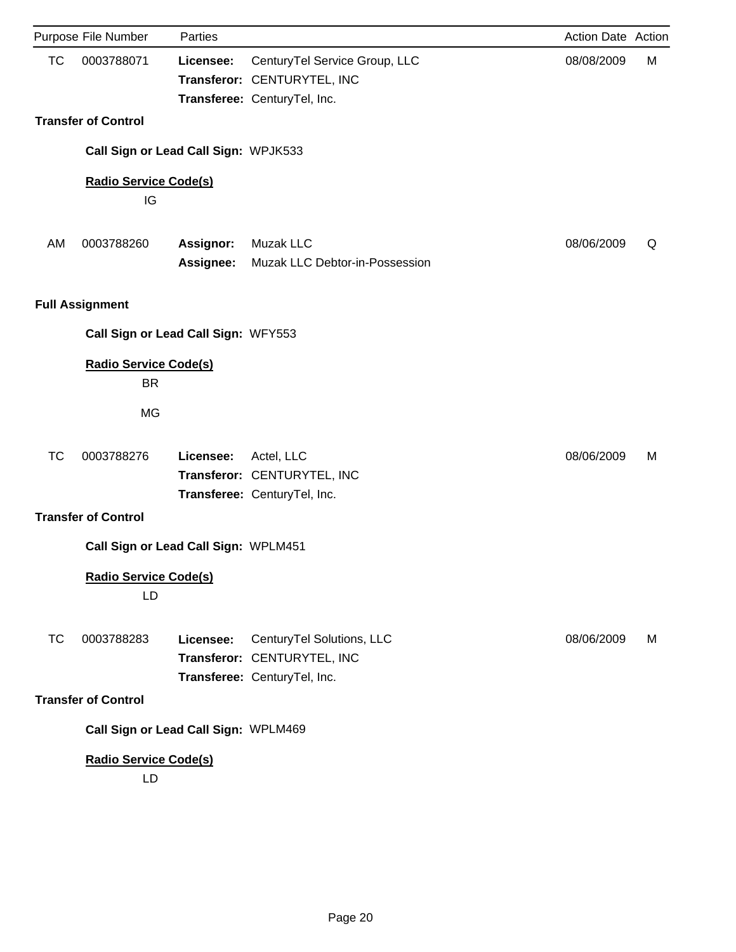|           | Purpose File Number                       | Parties          |                                                                                              | Action Date Action |   |
|-----------|-------------------------------------------|------------------|----------------------------------------------------------------------------------------------|--------------------|---|
| <b>TC</b> | 0003788071                                | Licensee:        | CenturyTel Service Group, LLC<br>Transferor: CENTURYTEL, INC<br>Transferee: CenturyTel, Inc. | 08/08/2009         | М |
|           | <b>Transfer of Control</b>                |                  |                                                                                              |                    |   |
|           | Call Sign or Lead Call Sign: WPJK533      |                  |                                                                                              |                    |   |
|           | <b>Radio Service Code(s)</b><br>IG        |                  |                                                                                              |                    |   |
| AM        | 0003788260                                | <b>Assignor:</b> | Muzak LLC                                                                                    | 08/06/2009         | Q |
|           |                                           | <b>Assignee:</b> | Muzak LLC Debtor-in-Possession                                                               |                    |   |
|           | <b>Full Assignment</b>                    |                  |                                                                                              |                    |   |
|           | Call Sign or Lead Call Sign: WFY553       |                  |                                                                                              |                    |   |
|           | <b>Radio Service Code(s)</b><br><b>BR</b> |                  |                                                                                              |                    |   |
|           | <b>MG</b>                                 |                  |                                                                                              |                    |   |
| ТC        | 0003788276                                | Licensee:        | Actel, LLC<br>Transferor: CENTURYTEL, INC<br>Transferee: CenturyTel, Inc.                    | 08/06/2009         | M |
|           | <b>Transfer of Control</b>                |                  |                                                                                              |                    |   |
|           | Call Sign or Lead Call Sign: WPLM451      |                  |                                                                                              |                    |   |
|           | <b>Radio Service Code(s)</b><br>LD        |                  |                                                                                              |                    |   |
| <b>TC</b> | 0003788283                                | Licensee:        | CenturyTel Solutions, LLC<br>Transferor: CENTURYTEL, INC<br>Transferee: CenturyTel, Inc.     | 08/06/2009         | M |
|           | <b>Transfer of Control</b>                |                  |                                                                                              |                    |   |
|           | Call Sign or Lead Call Sign: WPLM469      |                  |                                                                                              |                    |   |
|           | <b>Radio Service Code(s)</b><br>LD        |                  |                                                                                              |                    |   |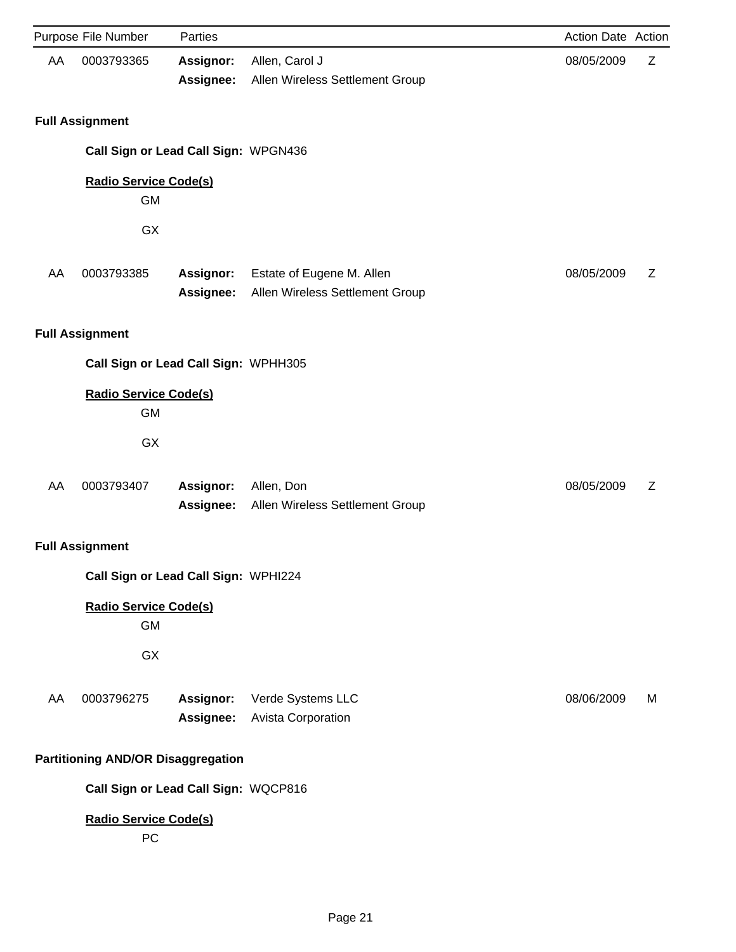|    | Purpose File Number                       | Parties                |                                                              | Action Date Action |   |
|----|-------------------------------------------|------------------------|--------------------------------------------------------------|--------------------|---|
| AA | 0003793365                                | Assignor:<br>Assignee: | Allen, Carol J<br>Allen Wireless Settlement Group            | 08/05/2009         | Z |
|    | <b>Full Assignment</b>                    |                        |                                                              |                    |   |
|    | Call Sign or Lead Call Sign: WPGN436      |                        |                                                              |                    |   |
|    | <b>Radio Service Code(s)</b><br><b>GM</b> |                        |                                                              |                    |   |
|    | GX                                        |                        |                                                              |                    |   |
| AA | 0003793385                                | Assignor:<br>Assignee: | Estate of Eugene M. Allen<br>Allen Wireless Settlement Group | 08/05/2009         | Ζ |
|    | <b>Full Assignment</b>                    |                        |                                                              |                    |   |
|    | Call Sign or Lead Call Sign: WPHH305      |                        |                                                              |                    |   |
|    | <b>Radio Service Code(s)</b><br><b>GM</b> |                        |                                                              |                    |   |
|    | GX                                        |                        |                                                              |                    |   |
| AA | 0003793407                                | Assignor:<br>Assignee: | Allen, Don<br>Allen Wireless Settlement Group                | 08/05/2009         | Z |
|    | <b>Full Assignment</b>                    |                        |                                                              |                    |   |
|    | Call Sign or Lead Call Sign: WPHI224      |                        |                                                              |                    |   |
|    | <b>Radio Service Code(s)</b><br><b>GM</b> |                        |                                                              |                    |   |
|    | GX                                        |                        |                                                              |                    |   |
| AA | 0003796275                                | Assignor:<br>Assignee: | Verde Systems LLC<br>Avista Corporation                      | 08/06/2009         | М |
|    | <b>Partitioning AND/OR Disaggregation</b> |                        |                                                              |                    |   |
|    | Call Sign or Lead Call Sign: WQCP816      |                        |                                                              |                    |   |
|    | <b>Radio Service Code(s)</b><br>PC        |                        |                                                              |                    |   |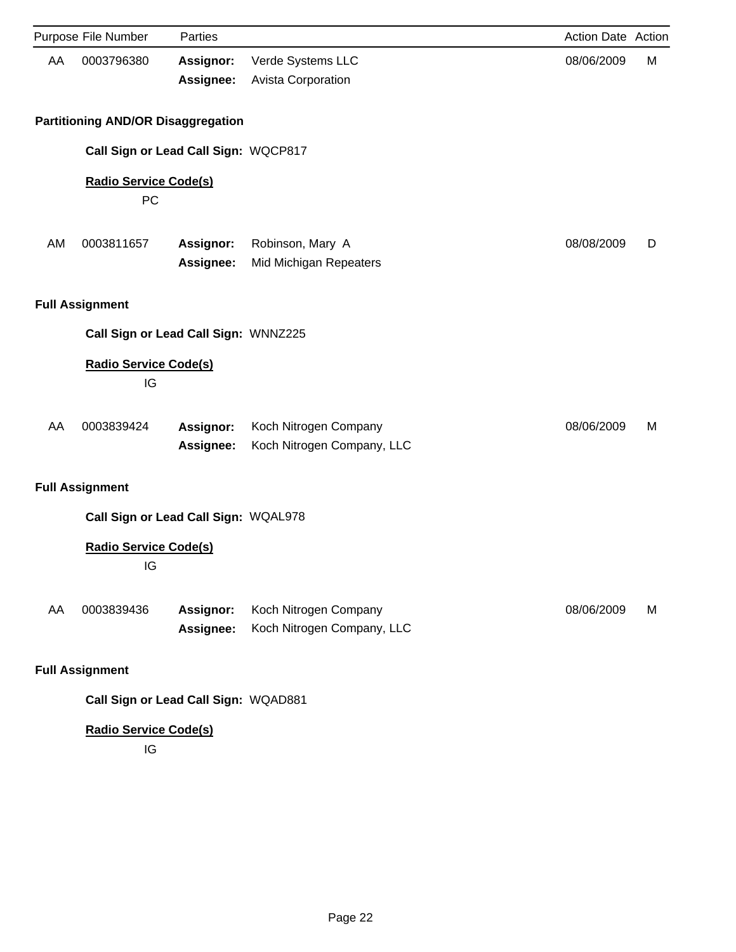|    | Purpose File Number                       | Parties                              |                                                     | Action Date Action |   |
|----|-------------------------------------------|--------------------------------------|-----------------------------------------------------|--------------------|---|
| AA | 0003796380                                | <b>Assignor:</b><br>Assignee:        | Verde Systems LLC<br>Avista Corporation             | 08/06/2009         | M |
|    | <b>Partitioning AND/OR Disaggregation</b> |                                      |                                                     |                    |   |
|    |                                           | Call Sign or Lead Call Sign: WQCP817 |                                                     |                    |   |
|    | <b>Radio Service Code(s)</b><br>PC        |                                      |                                                     |                    |   |
| AM | 0003811657                                | <b>Assignor:</b><br>Assignee:        | Robinson, Mary A<br>Mid Michigan Repeaters          | 08/08/2009         | D |
|    | <b>Full Assignment</b>                    |                                      |                                                     |                    |   |
|    |                                           | Call Sign or Lead Call Sign: WNNZ225 |                                                     |                    |   |
|    | <b>Radio Service Code(s)</b><br>IG        |                                      |                                                     |                    |   |
| AA | 0003839424                                | Assignor:<br>Assignee:               | Koch Nitrogen Company<br>Koch Nitrogen Company, LLC | 08/06/2009         | М |
|    | <b>Full Assignment</b>                    |                                      |                                                     |                    |   |
|    |                                           | Call Sign or Lead Call Sign: WQAL978 |                                                     |                    |   |
|    | <b>Radio Service Code(s)</b><br>IG        |                                      |                                                     |                    |   |
| AA | 0003839436                                | Assignor:<br>Assignee:               | Koch Nitrogen Company<br>Koch Nitrogen Company, LLC | 08/06/2009         | M |
|    | <b>Full Assignment</b>                    |                                      |                                                     |                    |   |
|    |                                           | Call Sign or Lead Call Sign: WQAD881 |                                                     |                    |   |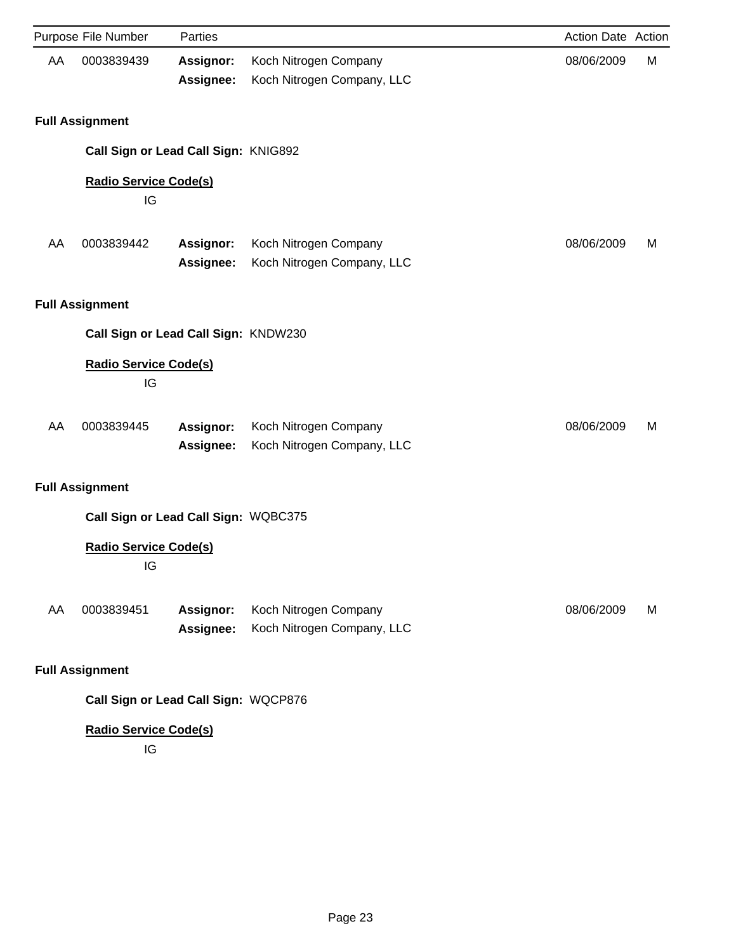|    | Purpose File Number                  | Parties                       |                                                     | Action Date Action |   |
|----|--------------------------------------|-------------------------------|-----------------------------------------------------|--------------------|---|
| AA | 0003839439                           | Assignor:<br>Assignee:        | Koch Nitrogen Company<br>Koch Nitrogen Company, LLC | 08/06/2009         | М |
|    | <b>Full Assignment</b>               |                               |                                                     |                    |   |
|    | Call Sign or Lead Call Sign: KNIG892 |                               |                                                     |                    |   |
|    | <b>Radio Service Code(s)</b><br>IG   |                               |                                                     |                    |   |
| AA | 0003839442                           | Assignor:<br>Assignee:        | Koch Nitrogen Company<br>Koch Nitrogen Company, LLC | 08/06/2009         | M |
|    | <b>Full Assignment</b>               |                               |                                                     |                    |   |
|    | Call Sign or Lead Call Sign: KNDW230 |                               |                                                     |                    |   |
|    | <b>Radio Service Code(s)</b><br>IG   |                               |                                                     |                    |   |
| AA | 0003839445                           | <b>Assignor:</b><br>Assignee: | Koch Nitrogen Company<br>Koch Nitrogen Company, LLC | 08/06/2009         | M |
|    | <b>Full Assignment</b>               |                               |                                                     |                    |   |
|    | Call Sign or Lead Call Sign: WQBC375 |                               |                                                     |                    |   |
|    | <b>Radio Service Code(s)</b><br>IG   |                               |                                                     |                    |   |
| AA | 0003839451                           | Assignor:<br>Assignee:        | Koch Nitrogen Company<br>Koch Nitrogen Company, LLC | 08/06/2009         | M |
|    | <b>Full Assignment</b>               |                               |                                                     |                    |   |
|    | Call Sign or Lead Call Sign: WQCP876 |                               |                                                     |                    |   |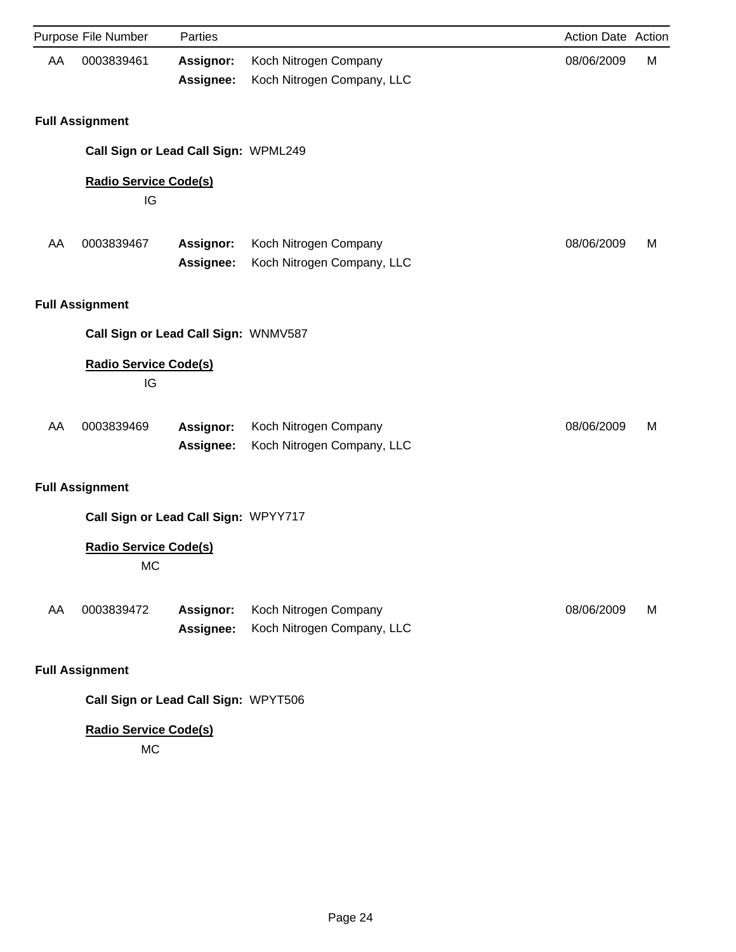|    | Purpose File Number                       | Parties                              |                                                     | Action Date Action |   |
|----|-------------------------------------------|--------------------------------------|-----------------------------------------------------|--------------------|---|
| AA | 0003839461                                | <b>Assignor:</b><br>Assignee:        | Koch Nitrogen Company<br>Koch Nitrogen Company, LLC | 08/06/2009         | М |
|    | <b>Full Assignment</b>                    |                                      |                                                     |                    |   |
|    |                                           | Call Sign or Lead Call Sign: WPML249 |                                                     |                    |   |
|    | <b>Radio Service Code(s)</b><br>IG        |                                      |                                                     |                    |   |
| AA | 0003839467                                | Assignor:<br>Assignee:               | Koch Nitrogen Company<br>Koch Nitrogen Company, LLC | 08/06/2009         | M |
|    | <b>Full Assignment</b>                    |                                      |                                                     |                    |   |
|    |                                           | Call Sign or Lead Call Sign: WNMV587 |                                                     |                    |   |
|    | <b>Radio Service Code(s)</b><br>IG        |                                      |                                                     |                    |   |
| AA | 0003839469                                | <b>Assignor:</b><br>Assignee:        | Koch Nitrogen Company<br>Koch Nitrogen Company, LLC | 08/06/2009         | M |
|    | <b>Full Assignment</b>                    |                                      |                                                     |                    |   |
|    |                                           | Call Sign or Lead Call Sign: WPYY717 |                                                     |                    |   |
|    | <b>Radio Service Code(s)</b><br><b>MC</b> |                                      |                                                     |                    |   |
| AA | 0003839472                                | Assignor:<br>Assignee:               | Koch Nitrogen Company<br>Koch Nitrogen Company, LLC | 08/06/2009         | M |
|    | <b>Full Assignment</b>                    |                                      |                                                     |                    |   |
|    |                                           | Call Sign or Lead Call Sign: WPYT506 |                                                     |                    |   |

MC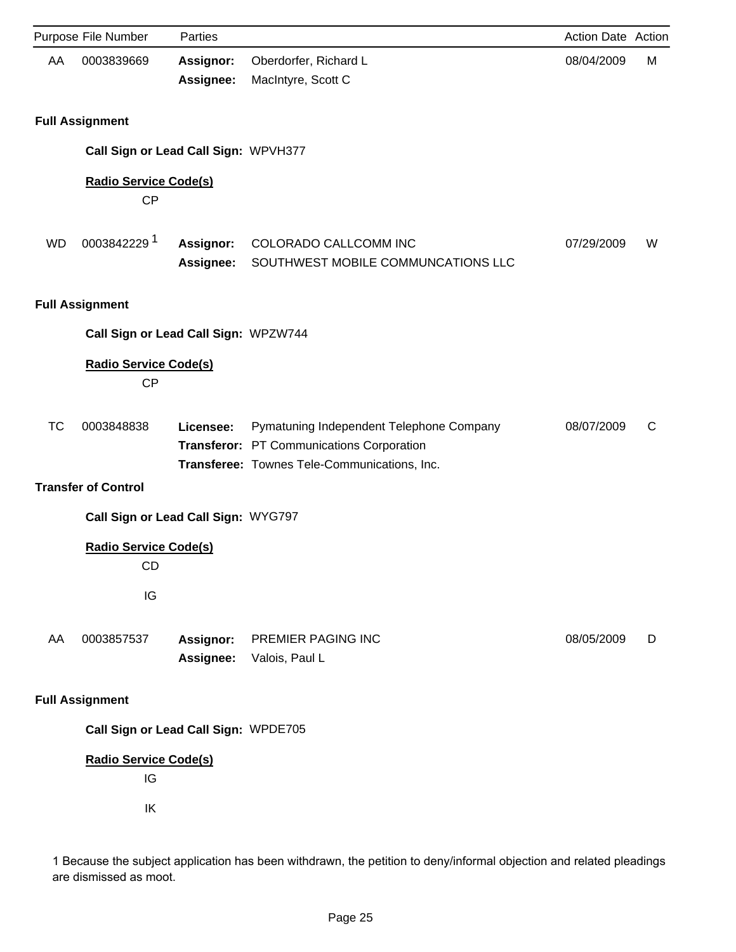|           | Purpose File Number                             | Parties                       |                                                                                                                                       | Action Date Action |   |
|-----------|-------------------------------------------------|-------------------------------|---------------------------------------------------------------------------------------------------------------------------------------|--------------------|---|
| AA        | 0003839669                                      | <b>Assignor:</b><br>Assignee: | Oberdorfer, Richard L<br>MacIntyre, Scott C                                                                                           | 08/04/2009         | M |
|           | <b>Full Assignment</b>                          |                               |                                                                                                                                       |                    |   |
|           | Call Sign or Lead Call Sign: WPVH377            |                               |                                                                                                                                       |                    |   |
|           | <b>Radio Service Code(s)</b><br><b>CP</b>       |                               |                                                                                                                                       |                    |   |
| <b>WD</b> | 00038422291                                     | Assignor:<br><b>Assignee:</b> | COLORADO CALLCOMM INC<br>SOUTHWEST MOBILE COMMUNCATIONS LLC                                                                           | 07/29/2009         | W |
|           | <b>Full Assignment</b>                          |                               |                                                                                                                                       |                    |   |
|           | Call Sign or Lead Call Sign: WPZW744            |                               |                                                                                                                                       |                    |   |
|           | <b>Radio Service Code(s)</b><br><b>CP</b>       |                               |                                                                                                                                       |                    |   |
| <b>TC</b> | 0003848838<br><b>Transfer of Control</b>        | Licensee:                     | Pymatuning Independent Telephone Company<br>Transferor: PT Communications Corporation<br>Transferee: Townes Tele-Communications, Inc. | 08/07/2009         | C |
|           | Call Sign or Lead Call Sign: WYG797             |                               |                                                                                                                                       |                    |   |
|           | <b>Radio Service Code(s)</b><br><b>CD</b><br>IG |                               |                                                                                                                                       |                    |   |
| AA        | 0003857537                                      | <b>Assignor:</b><br>Assignee: | PREMIER PAGING INC<br>Valois, Paul L                                                                                                  | 08/05/2009         | D |
|           | <b>Full Assignment</b>                          |                               |                                                                                                                                       |                    |   |
|           | Call Sign or Lead Call Sign: WPDE705            |                               |                                                                                                                                       |                    |   |
|           | <b>Radio Service Code(s)</b><br>IG<br>IK        |                               |                                                                                                                                       |                    |   |

1 Because the subject application has been withdrawn, the petition to deny/informal objection and related pleadings are dismissed as moot.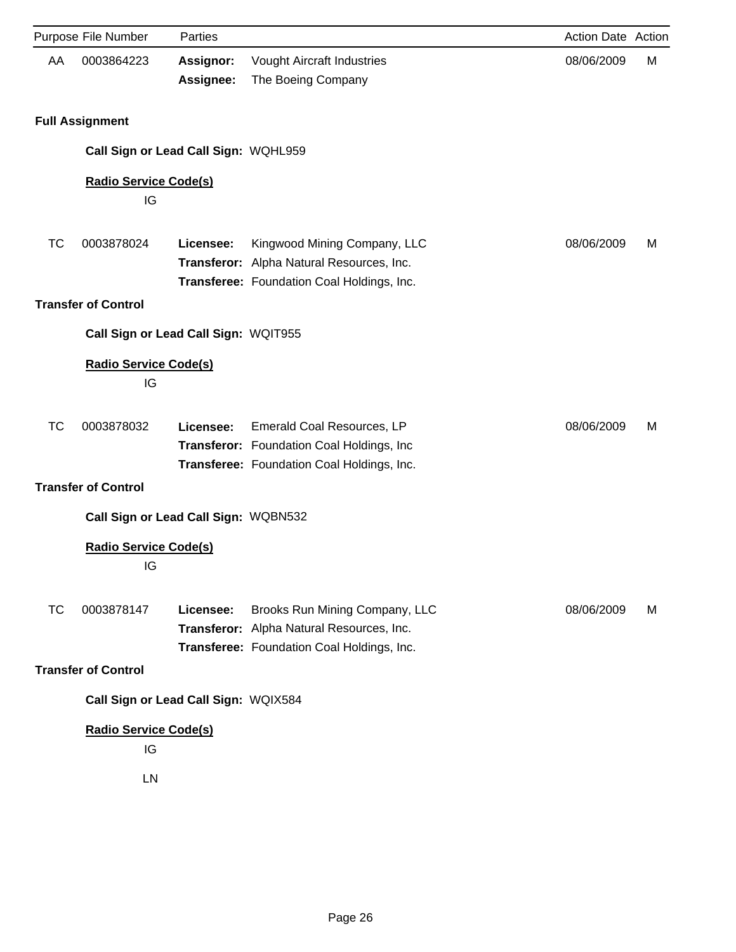|    | Purpose File Number                | Parties                              |                                                                                                                           | Action Date Action |   |
|----|------------------------------------|--------------------------------------|---------------------------------------------------------------------------------------------------------------------------|--------------------|---|
| AA | 0003864223                         | <b>Assignor:</b><br>Assignee:        | <b>Vought Aircraft Industries</b><br>The Boeing Company                                                                   | 08/06/2009         | М |
|    | <b>Full Assignment</b>             |                                      |                                                                                                                           |                    |   |
|    |                                    | Call Sign or Lead Call Sign: WQHL959 |                                                                                                                           |                    |   |
|    | <b>Radio Service Code(s)</b><br>IG |                                      |                                                                                                                           |                    |   |
| ТC | 0003878024                         | Licensee:                            | Kingwood Mining Company, LLC<br>Transferor: Alpha Natural Resources, Inc.<br>Transferee: Foundation Coal Holdings, Inc.   | 08/06/2009         | M |
|    | <b>Transfer of Control</b>         |                                      |                                                                                                                           |                    |   |
|    |                                    | Call Sign or Lead Call Sign: WQIT955 |                                                                                                                           |                    |   |
|    | <b>Radio Service Code(s)</b><br>IG |                                      |                                                                                                                           |                    |   |
| ТC | 0003878032                         | Licensee:                            | Emerald Coal Resources, LP<br>Transferor: Foundation Coal Holdings, Inc<br>Transferee: Foundation Coal Holdings, Inc.     | 08/06/2009         | M |
|    | <b>Transfer of Control</b>         |                                      |                                                                                                                           |                    |   |
|    |                                    | Call Sign or Lead Call Sign: WQBN532 |                                                                                                                           |                    |   |
|    | <b>Radio Service Code(s)</b><br>IG |                                      |                                                                                                                           |                    |   |
| ТC | 0003878147                         | Licensee:                            | Brooks Run Mining Company, LLC<br>Transferor: Alpha Natural Resources, Inc.<br>Transferee: Foundation Coal Holdings, Inc. | 08/06/2009         | М |
|    | <b>Transfer of Control</b>         |                                      |                                                                                                                           |                    |   |
|    |                                    | Call Sign or Lead Call Sign: WQIX584 |                                                                                                                           |                    |   |
|    | <b>Radio Service Code(s)</b><br>IG |                                      |                                                                                                                           |                    |   |
|    | LN                                 |                                      |                                                                                                                           |                    |   |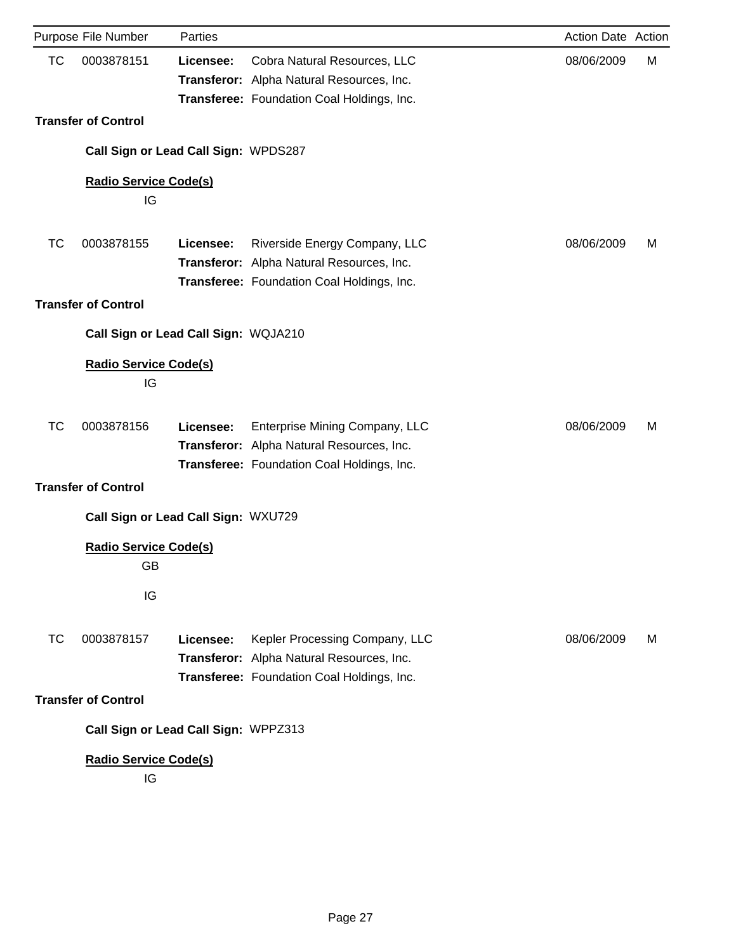|           | Purpose File Number                  | Parties   |                                                                                                                           | Action Date Action |   |
|-----------|--------------------------------------|-----------|---------------------------------------------------------------------------------------------------------------------------|--------------------|---|
| <b>TC</b> | 0003878151                           | Licensee: | Cobra Natural Resources, LLC<br>Transferor: Alpha Natural Resources, Inc.<br>Transferee: Foundation Coal Holdings, Inc.   | 08/06/2009         | М |
|           | <b>Transfer of Control</b>           |           |                                                                                                                           |                    |   |
|           | Call Sign or Lead Call Sign: WPDS287 |           |                                                                                                                           |                    |   |
|           | <b>Radio Service Code(s)</b>         |           |                                                                                                                           |                    |   |
|           | IG                                   |           |                                                                                                                           |                    |   |
| ТC        | 0003878155                           | Licensee: | Riverside Energy Company, LLC                                                                                             | 08/06/2009         | M |
|           |                                      |           | Transferor: Alpha Natural Resources, Inc.                                                                                 |                    |   |
|           |                                      |           | Transferee: Foundation Coal Holdings, Inc.                                                                                |                    |   |
|           | <b>Transfer of Control</b>           |           |                                                                                                                           |                    |   |
|           | Call Sign or Lead Call Sign: WQJA210 |           |                                                                                                                           |                    |   |
|           | <b>Radio Service Code(s)</b><br>IG   |           |                                                                                                                           |                    |   |
| <b>TC</b> | 0003878156                           | Licensee: | Enterprise Mining Company, LLC<br>Transferor: Alpha Natural Resources, Inc.<br>Transferee: Foundation Coal Holdings, Inc. | 08/06/2009         | M |
|           | <b>Transfer of Control</b>           |           |                                                                                                                           |                    |   |
|           | Call Sign or Lead Call Sign: WXU729  |           |                                                                                                                           |                    |   |
|           | <b>Radio Service Code(s)</b><br>GB   |           |                                                                                                                           |                    |   |
|           | IG                                   |           |                                                                                                                           |                    |   |
| ТC        | 0003878157                           | Licensee: | Kepler Processing Company, LLC                                                                                            | 08/06/2009         | M |
|           |                                      |           | Transferor: Alpha Natural Resources, Inc.                                                                                 |                    |   |
|           |                                      |           | Transferee: Foundation Coal Holdings, Inc.                                                                                |                    |   |
|           | <b>Transfer of Control</b>           |           |                                                                                                                           |                    |   |
|           | Call Sign or Lead Call Sign: WPPZ313 |           |                                                                                                                           |                    |   |
|           | <b>Radio Service Code(s)</b><br>IG   |           |                                                                                                                           |                    |   |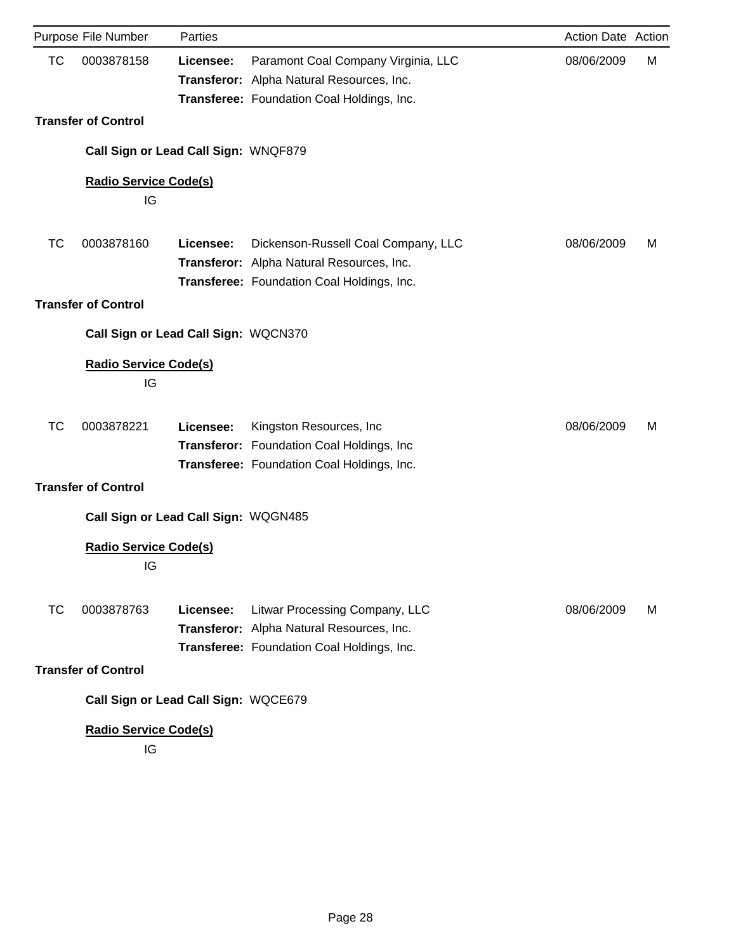|           | Purpose File Number                  | Parties   |                                            | Action Date Action |   |
|-----------|--------------------------------------|-----------|--------------------------------------------|--------------------|---|
| <b>TC</b> | 0003878158                           | Licensee: | Paramont Coal Company Virginia, LLC        | 08/06/2009         | М |
|           |                                      |           | Transferor: Alpha Natural Resources, Inc.  |                    |   |
|           |                                      |           | Transferee: Foundation Coal Holdings, Inc. |                    |   |
|           | <b>Transfer of Control</b>           |           |                                            |                    |   |
|           | Call Sign or Lead Call Sign: WNQF879 |           |                                            |                    |   |
|           | <b>Radio Service Code(s)</b>         |           |                                            |                    |   |
|           | IG                                   |           |                                            |                    |   |
|           |                                      |           |                                            |                    |   |
| ТC        | 0003878160                           | Licensee: | Dickenson-Russell Coal Company, LLC        | 08/06/2009         | M |
|           |                                      |           | Transferor: Alpha Natural Resources, Inc.  |                    |   |
|           |                                      |           | Transferee: Foundation Coal Holdings, Inc. |                    |   |
|           | <b>Transfer of Control</b>           |           |                                            |                    |   |
|           | Call Sign or Lead Call Sign: WQCN370 |           |                                            |                    |   |
|           | <b>Radio Service Code(s)</b>         |           |                                            |                    |   |
|           | IG                                   |           |                                            |                    |   |
|           |                                      |           |                                            |                    |   |
| <b>TC</b> | 0003878221                           | Licensee: | Kingston Resources, Inc.                   | 08/06/2009         | M |
|           |                                      |           | Transferor: Foundation Coal Holdings, Inc. |                    |   |
|           |                                      |           | Transferee: Foundation Coal Holdings, Inc. |                    |   |
|           | <b>Transfer of Control</b>           |           |                                            |                    |   |
|           | Call Sign or Lead Call Sign: WQGN485 |           |                                            |                    |   |
|           | <b>Radio Service Code(s)</b>         |           |                                            |                    |   |
|           | IG                                   |           |                                            |                    |   |
|           |                                      |           |                                            |                    |   |
| ТC        | 0003878763                           | Licensee: | Litwar Processing Company, LLC             | 08/06/2009         | м |
|           |                                      |           | Transferor: Alpha Natural Resources, Inc.  |                    |   |
|           |                                      |           | Transferee: Foundation Coal Holdings, Inc. |                    |   |
|           | <b>Transfer of Control</b>           |           |                                            |                    |   |
|           | Call Sign or Lead Call Sign: WQCE679 |           |                                            |                    |   |
|           | <b>Radio Service Code(s)</b>         |           |                                            |                    |   |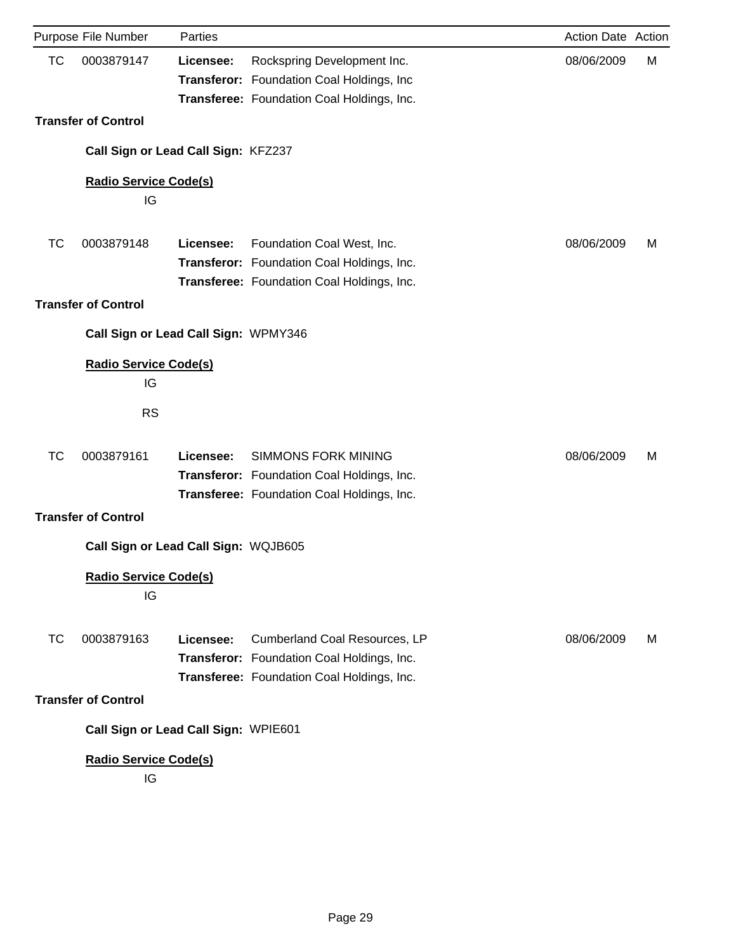|           | Purpose File Number                  | Parties   |                                                                                                                           | Action Date Action |   |
|-----------|--------------------------------------|-----------|---------------------------------------------------------------------------------------------------------------------------|--------------------|---|
| <b>TC</b> | 0003879147                           | Licensee: | Rockspring Development Inc.<br>Transferor: Foundation Coal Holdings, Inc.<br>Transferee: Foundation Coal Holdings, Inc.   | 08/06/2009         | М |
|           | <b>Transfer of Control</b>           |           |                                                                                                                           |                    |   |
|           | Call Sign or Lead Call Sign: KFZ237  |           |                                                                                                                           |                    |   |
|           | <b>Radio Service Code(s)</b><br>IG   |           |                                                                                                                           |                    |   |
|           |                                      |           |                                                                                                                           |                    |   |
| TC        | 0003879148                           | Licensee: | Foundation Coal West, Inc.<br>Transferor: Foundation Coal Holdings, Inc.<br>Transferee: Foundation Coal Holdings, Inc.    | 08/06/2009         | M |
|           | <b>Transfer of Control</b>           |           |                                                                                                                           |                    |   |
|           | Call Sign or Lead Call Sign: WPMY346 |           |                                                                                                                           |                    |   |
|           | <b>Radio Service Code(s)</b><br>IG   |           |                                                                                                                           |                    |   |
|           | <b>RS</b>                            |           |                                                                                                                           |                    |   |
| <b>TC</b> | 0003879161                           | Licensee: | <b>SIMMONS FORK MINING</b><br>Transferor: Foundation Coal Holdings, Inc.<br>Transferee: Foundation Coal Holdings, Inc.    | 08/06/2009         | M |
|           | <b>Transfer of Control</b>           |           |                                                                                                                           |                    |   |
|           | Call Sign or Lead Call Sign: WQJB605 |           |                                                                                                                           |                    |   |
|           | <b>Radio Service Code(s)</b><br>IG   |           |                                                                                                                           |                    |   |
| ТC        | 0003879163                           | Licensee: | Cumberland Coal Resources, LP<br>Transferor: Foundation Coal Holdings, Inc.<br>Transferee: Foundation Coal Holdings, Inc. | 08/06/2009         | м |
|           | <b>Transfer of Control</b>           |           |                                                                                                                           |                    |   |
|           | Call Sign or Lead Call Sign: WPIE601 |           |                                                                                                                           |                    |   |
|           | <b>Radio Service Code(s)</b><br>IG   |           |                                                                                                                           |                    |   |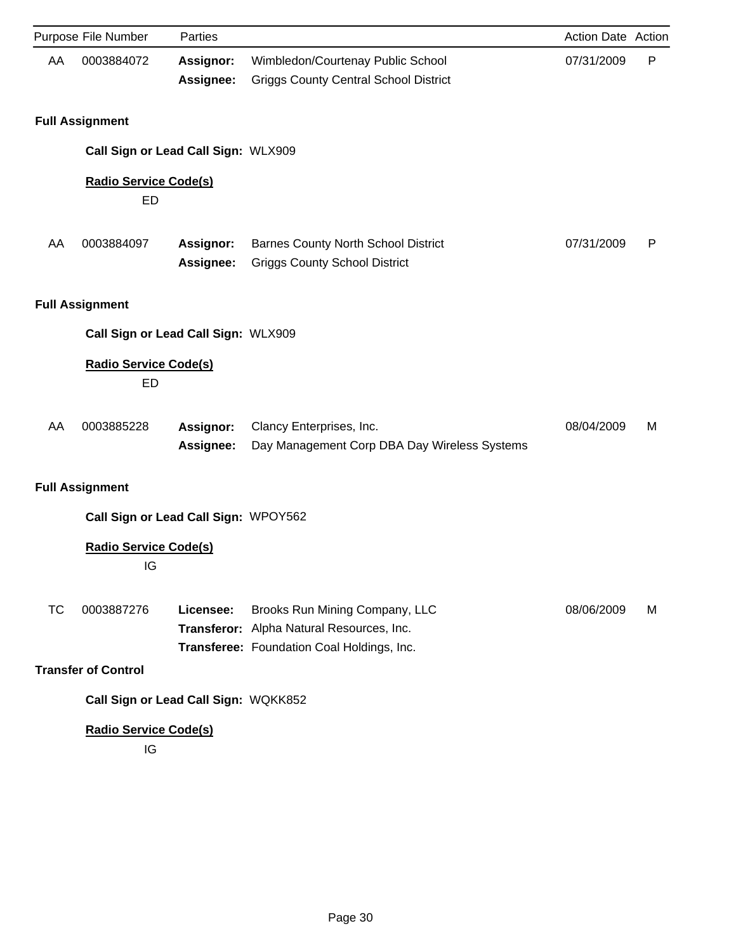|           | Purpose File Number                      | Parties                              |                                                                                                                           | Action Date Action |   |
|-----------|------------------------------------------|--------------------------------------|---------------------------------------------------------------------------------------------------------------------------|--------------------|---|
| AA        | 0003884072                               | <b>Assignor:</b><br>Assignee:        | Wimbledon/Courtenay Public School<br><b>Griggs County Central School District</b>                                         | 07/31/2009         | P |
|           | <b>Full Assignment</b>                   |                                      |                                                                                                                           |                    |   |
|           |                                          | Call Sign or Lead Call Sign: WLX909  |                                                                                                                           |                    |   |
|           | <b>Radio Service Code(s)</b><br>ED       |                                      |                                                                                                                           |                    |   |
| AA        | 0003884097                               | <b>Assignor:</b><br>Assignee:        | <b>Barnes County North School District</b><br><b>Griggs County School District</b>                                        | 07/31/2009         | P |
|           | <b>Full Assignment</b>                   |                                      |                                                                                                                           |                    |   |
|           |                                          | Call Sign or Lead Call Sign: WLX909  |                                                                                                                           |                    |   |
|           | <b>Radio Service Code(s)</b><br>ED       |                                      |                                                                                                                           |                    |   |
| AA        | 0003885228                               | Assignor:<br>Assignee:               | Clancy Enterprises, Inc.<br>Day Management Corp DBA Day Wireless Systems                                                  | 08/04/2009         | M |
|           | <b>Full Assignment</b>                   |                                      |                                                                                                                           |                    |   |
|           |                                          | Call Sign or Lead Call Sign: WPOY562 |                                                                                                                           |                    |   |
|           | <b>Radio Service Code(s)</b><br>IG       |                                      |                                                                                                                           |                    |   |
| <b>TC</b> | 0003887276<br><b>Transfer of Control</b> | Licensee:                            | Brooks Run Mining Company, LLC<br>Transferor: Alpha Natural Resources, Inc.<br>Transferee: Foundation Coal Holdings, Inc. | 08/06/2009         | м |
|           |                                          | Call Sign or Lead Call Sign: WQKK852 |                                                                                                                           |                    |   |
|           | <b>Radio Service Code(s)</b>             |                                      |                                                                                                                           |                    |   |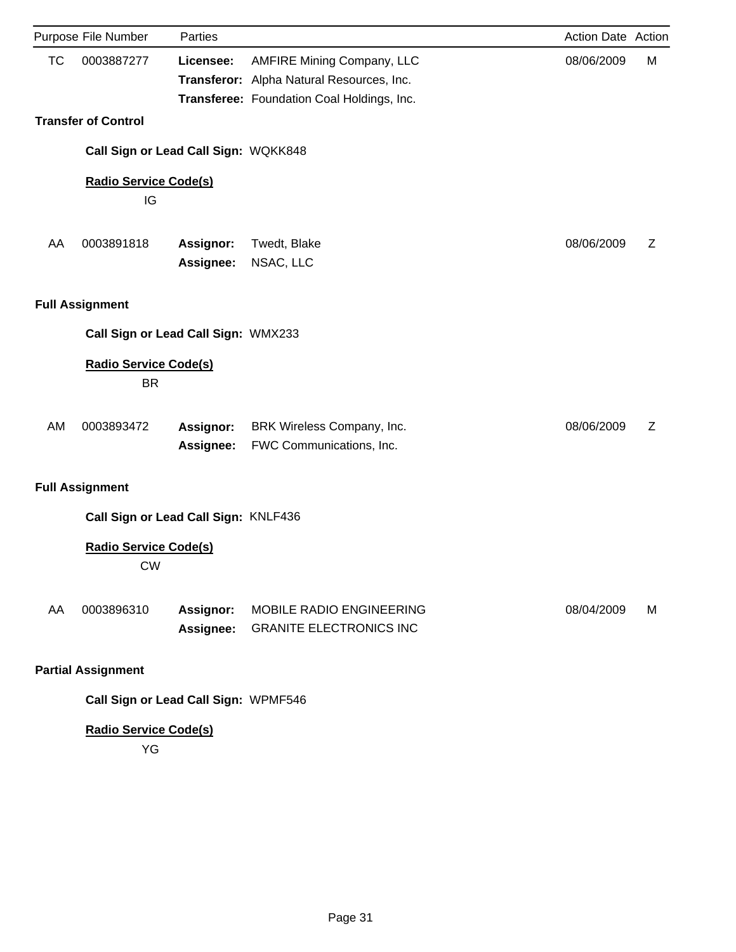| Purpose File Number                       | Parties                       |                                                                                                                              | <b>Action Date Action</b> |   |
|-------------------------------------------|-------------------------------|------------------------------------------------------------------------------------------------------------------------------|---------------------------|---|
| <b>TC</b><br>0003887277                   | Licensee:                     | <b>AMFIRE Mining Company, LLC</b><br>Transferor: Alpha Natural Resources, Inc.<br>Transferee: Foundation Coal Holdings, Inc. | 08/06/2009                | М |
| <b>Transfer of Control</b>                |                               |                                                                                                                              |                           |   |
| Call Sign or Lead Call Sign: WQKK848      |                               |                                                                                                                              |                           |   |
| <b>Radio Service Code(s)</b><br>IG        |                               |                                                                                                                              |                           |   |
| AA<br>0003891818                          | <b>Assignor:</b><br>Assignee: | Twedt, Blake<br>NSAC, LLC                                                                                                    | 08/06/2009                | Z |
| <b>Full Assignment</b>                    |                               |                                                                                                                              |                           |   |
| Call Sign or Lead Call Sign: WMX233       |                               |                                                                                                                              |                           |   |
| <b>Radio Service Code(s)</b><br><b>BR</b> |                               |                                                                                                                              |                           |   |
| <b>AM</b><br>0003893472                   | <b>Assignor:</b><br>Assignee: | BRK Wireless Company, Inc.<br>FWC Communications, Inc.                                                                       | 08/06/2009                | Z |
| <b>Full Assignment</b>                    |                               |                                                                                                                              |                           |   |
| Call Sign or Lead Call Sign: KNLF436      |                               |                                                                                                                              |                           |   |
| <b>Radio Service Code(s)</b><br><b>CW</b> |                               |                                                                                                                              |                           |   |
| AA<br>0003896310                          | <b>Assignor:</b><br>Assignee: | MOBILE RADIO ENGINEERING<br><b>GRANITE ELECTRONICS INC</b>                                                                   | 08/04/2009                | М |
| <b>Partial Assignment</b>                 |                               |                                                                                                                              |                           |   |

**Call Sign or Lead Call Sign:** WPMF546

# **Radio Service Code(s)**

YG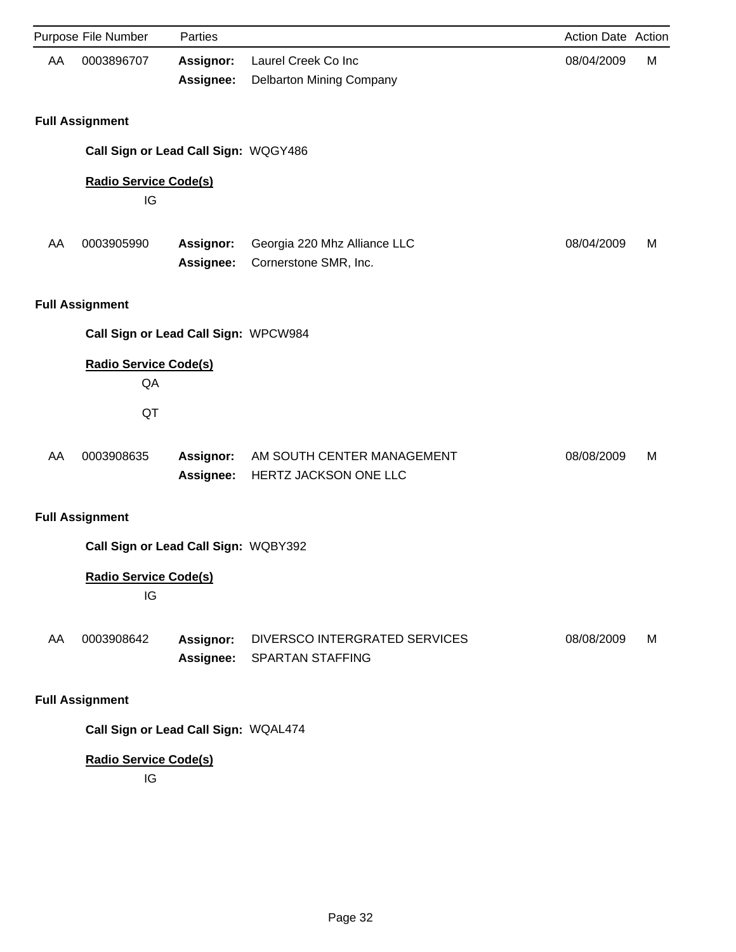|    | Purpose File Number                      | Parties                              |                                                          | Action Date Action |   |
|----|------------------------------------------|--------------------------------------|----------------------------------------------------------|--------------------|---|
| AA | 0003896707                               | <b>Assignor:</b><br>Assignee:        | Laurel Creek Co Inc<br>Delbarton Mining Company          | 08/04/2009         | M |
|    | <b>Full Assignment</b>                   |                                      |                                                          |                    |   |
|    | Call Sign or Lead Call Sign: WQGY486     |                                      |                                                          |                    |   |
|    | <b>Radio Service Code(s)</b><br>IG       |                                      |                                                          |                    |   |
| AA | 0003905990                               | Assignor:<br>Assignee:               | Georgia 220 Mhz Alliance LLC<br>Cornerstone SMR, Inc.    | 08/04/2009         | M |
|    | <b>Full Assignment</b>                   |                                      |                                                          |                    |   |
|    | Call Sign or Lead Call Sign: WPCW984     |                                      |                                                          |                    |   |
|    | <b>Radio Service Code(s)</b><br>QA<br>QT |                                      |                                                          |                    |   |
| AA | 0003908635                               | Assignor:<br>Assignee:               | AM SOUTH CENTER MANAGEMENT<br>HERTZ JACKSON ONE LLC      | 08/08/2009         | M |
|    | <b>Full Assignment</b>                   |                                      |                                                          |                    |   |
|    | Call Sign or Lead Call Sign: WQBY392     |                                      |                                                          |                    |   |
|    | <b>Radio Service Code(s)</b><br>IG       |                                      |                                                          |                    |   |
| AA | 0003908642                               | <b>Assignor:</b><br><b>Assignee:</b> | DIVERSCO INTERGRATED SERVICES<br><b>SPARTAN STAFFING</b> | 08/08/2009         | M |
|    | <b>Full Assignment</b>                   |                                      |                                                          |                    |   |
|    | Call Sign or Lead Call Sign: WQAL474     |                                      |                                                          |                    |   |
|    | <b>Radio Service Code(s)</b><br>IG       |                                      |                                                          |                    |   |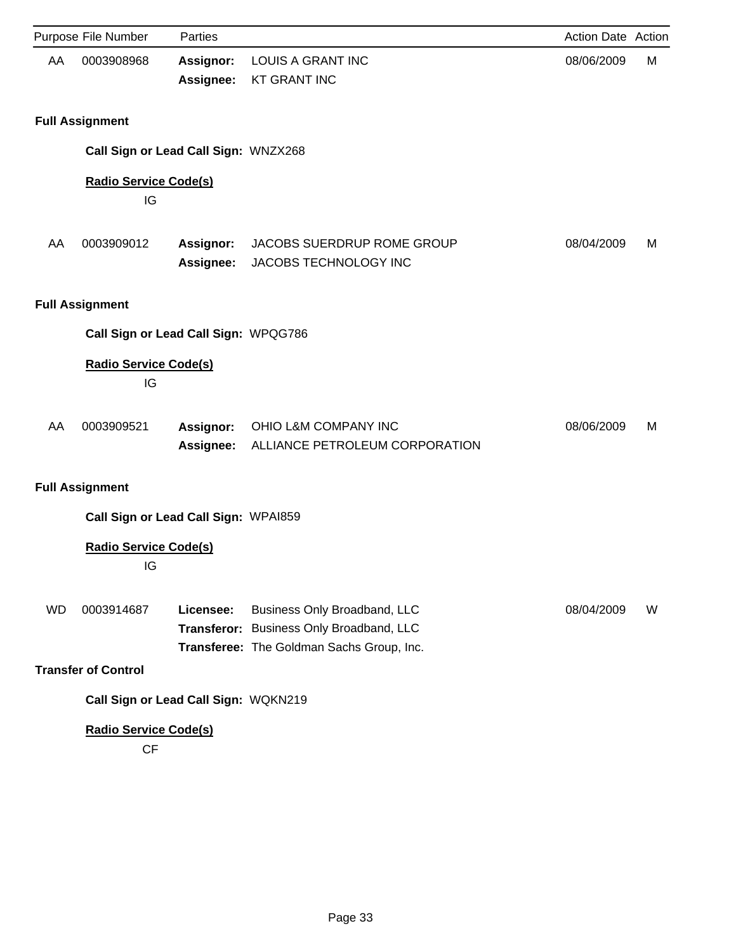|           | Purpose File Number                                                  | Parties                              |                                                                                                                       | Action Date Action |   |
|-----------|----------------------------------------------------------------------|--------------------------------------|-----------------------------------------------------------------------------------------------------------------------|--------------------|---|
| AA        | 0003908968                                                           | <b>Assignor:</b><br>Assignee:        | <b>LOUIS A GRANT INC</b><br><b>KT GRANT INC</b>                                                                       | 08/06/2009         | M |
|           | <b>Full Assignment</b>                                               |                                      |                                                                                                                       |                    |   |
|           | Call Sign or Lead Call Sign: WNZX268                                 |                                      |                                                                                                                       |                    |   |
|           | <b>Radio Service Code(s)</b><br>IG                                   |                                      |                                                                                                                       |                    |   |
| AA        | 0003909012                                                           | Assignor:<br><b>Assignee:</b>        | JACOBS SUERDRUP ROME GROUP<br>JACOBS TECHNOLOGY INC                                                                   | 08/04/2009         | M |
|           | <b>Full Assignment</b>                                               |                                      |                                                                                                                       |                    |   |
|           | Call Sign or Lead Call Sign: WPQG786                                 |                                      |                                                                                                                       |                    |   |
|           | <b>Radio Service Code(s)</b><br>IG                                   |                                      |                                                                                                                       |                    |   |
| AA        | 0003909521                                                           | <b>Assignor:</b><br><b>Assignee:</b> | OHIO L&M COMPANY INC<br>ALLIANCE PETROLEUM CORPORATION                                                                | 08/06/2009         | M |
|           | <b>Full Assignment</b>                                               |                                      |                                                                                                                       |                    |   |
|           | Call Sign or Lead Call Sign: WPAI859                                 |                                      |                                                                                                                       |                    |   |
|           | <b>Radio Service Code(s)</b><br>IG                                   |                                      |                                                                                                                       |                    |   |
| <b>WD</b> | 0003914687<br><b>Transfer of Control</b>                             | Licensee:                            | Business Only Broadband, LLC<br>Transferor: Business Only Broadband, LLC<br>Transferee: The Goldman Sachs Group, Inc. | 08/04/2009         | W |
|           |                                                                      |                                      |                                                                                                                       |                    |   |
|           | Call Sign or Lead Call Sign: WQKN219<br><b>Radio Service Code(s)</b> |                                      |                                                                                                                       |                    |   |

CF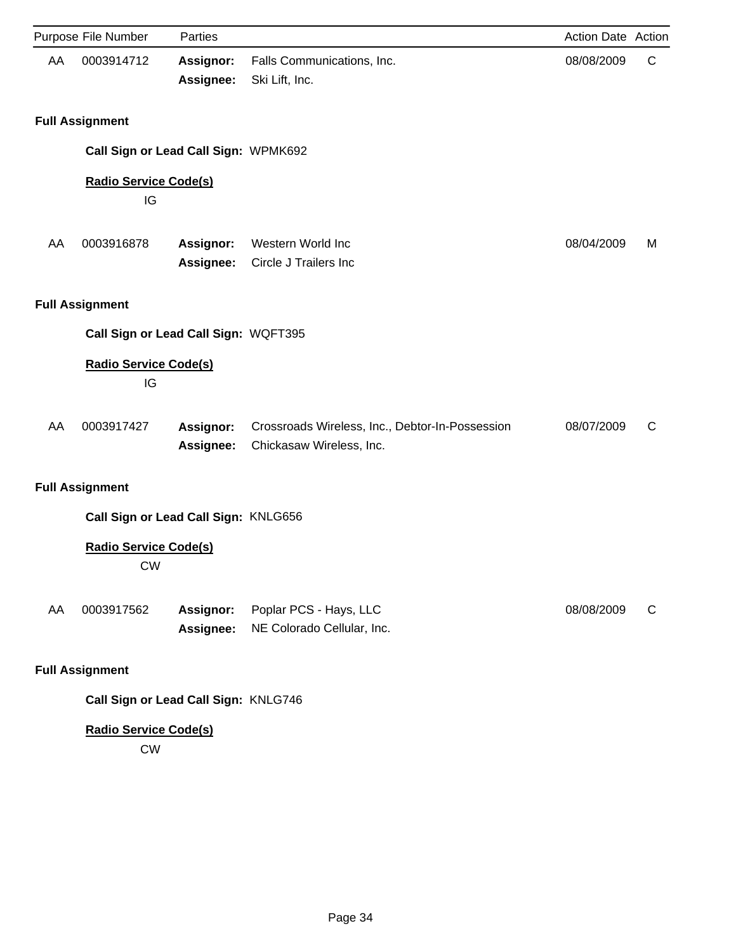|    | Purpose File Number                       | Parties                       |                                                                             | Action Date Action |   |
|----|-------------------------------------------|-------------------------------|-----------------------------------------------------------------------------|--------------------|---|
| AA | 0003914712                                | <b>Assignor:</b><br>Assignee: | Falls Communications, Inc.<br>Ski Lift, Inc.                                | 08/08/2009         | C |
|    | <b>Full Assignment</b>                    |                               |                                                                             |                    |   |
|    | Call Sign or Lead Call Sign: WPMK692      |                               |                                                                             |                    |   |
|    | <b>Radio Service Code(s)</b><br>IG        |                               |                                                                             |                    |   |
| AA | 0003916878                                | Assignor:<br>Assignee:        | Western World Inc<br>Circle J Trailers Inc                                  | 08/04/2009         | M |
|    | <b>Full Assignment</b>                    |                               |                                                                             |                    |   |
|    | Call Sign or Lead Call Sign: WQFT395      |                               |                                                                             |                    |   |
|    | <b>Radio Service Code(s)</b><br>IG        |                               |                                                                             |                    |   |
| AA | 0003917427                                | Assignor:<br>Assignee:        | Crossroads Wireless, Inc., Debtor-In-Possession<br>Chickasaw Wireless, Inc. | 08/07/2009         | C |
|    | <b>Full Assignment</b>                    |                               |                                                                             |                    |   |
|    | Call Sign or Lead Call Sign: KNLG656      |                               |                                                                             |                    |   |
|    | <b>Radio Service Code(s)</b><br><b>CW</b> |                               |                                                                             |                    |   |
| AA | 0003917562                                | Assignor:<br>Assignee:        | Poplar PCS - Hays, LLC<br>NE Colorado Cellular, Inc.                        | 08/08/2009         | C |
|    | <b>Full Assignment</b>                    |                               |                                                                             |                    |   |
|    | Call Sign or Lead Call Sign: KNLG746      |                               |                                                                             |                    |   |

CW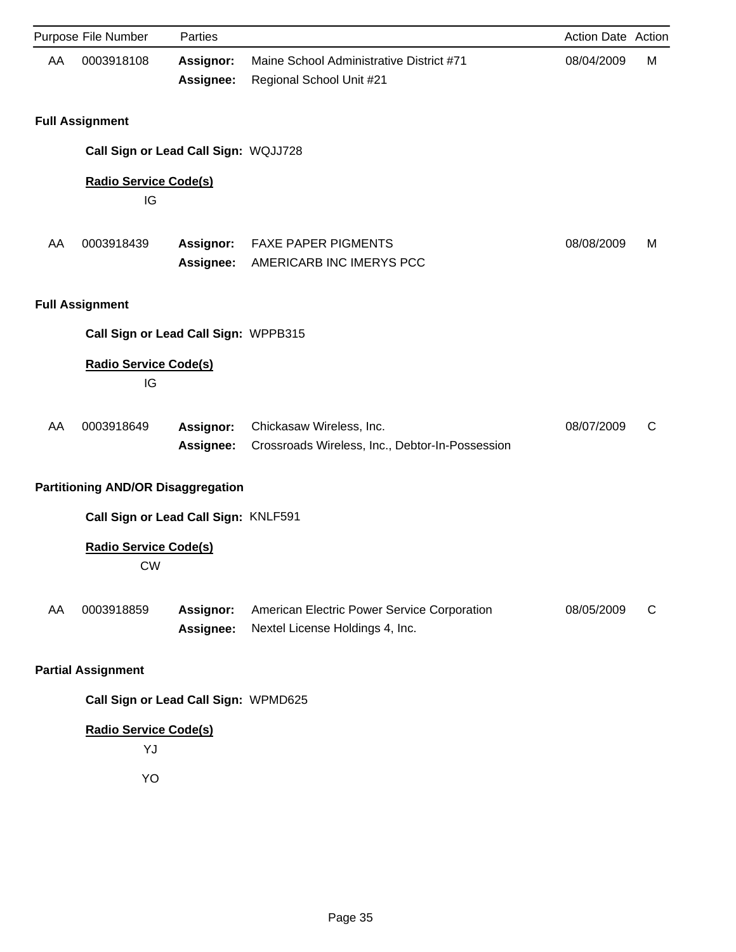|    | Purpose File Number                       | Parties                       |                                                                                | Action Date Action |   |
|----|-------------------------------------------|-------------------------------|--------------------------------------------------------------------------------|--------------------|---|
| AA | 0003918108                                | Assignor:<br>Assignee:        | Maine School Administrative District #71<br>Regional School Unit #21           | 08/04/2009         | M |
|    | <b>Full Assignment</b>                    |                               |                                                                                |                    |   |
|    | Call Sign or Lead Call Sign: WQJJ728      |                               |                                                                                |                    |   |
|    | <b>Radio Service Code(s)</b><br>IG        |                               |                                                                                |                    |   |
| AA | 0003918439                                | <b>Assignor:</b><br>Assignee: | <b>FAXE PAPER PIGMENTS</b><br>AMERICARB INC IMERYS PCC                         | 08/08/2009         | M |
|    | <b>Full Assignment</b>                    |                               |                                                                                |                    |   |
|    | Call Sign or Lead Call Sign: WPPB315      |                               |                                                                                |                    |   |
|    | <b>Radio Service Code(s)</b><br>IG        |                               |                                                                                |                    |   |
| AA | 0003918649                                | <b>Assignor:</b><br>Assignee: | Chickasaw Wireless, Inc.<br>Crossroads Wireless, Inc., Debtor-In-Possession    | 08/07/2009         | C |
|    | <b>Partitioning AND/OR Disaggregation</b> |                               |                                                                                |                    |   |
|    | Call Sign or Lead Call Sign: KNLF591      |                               |                                                                                |                    |   |
|    | <b>Radio Service Code(s)</b><br><b>CW</b> |                               |                                                                                |                    |   |
| AA | 0003918859                                | Assignor:<br><b>Assignee:</b> | American Electric Power Service Corporation<br>Nextel License Holdings 4, Inc. | 08/05/2009         | C |
|    | <b>Partial Assignment</b>                 |                               |                                                                                |                    |   |
|    | Call Sign or Lead Call Sign: WPMD625      |                               |                                                                                |                    |   |
|    | <b>Radio Service Code(s)</b><br>YJ        |                               |                                                                                |                    |   |

YO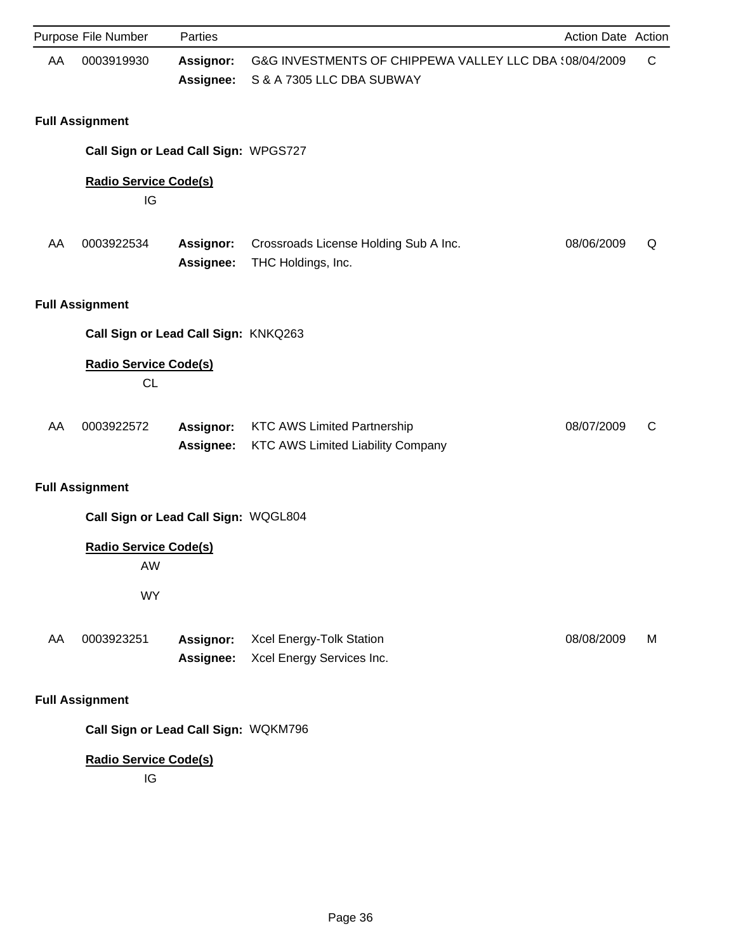|    | Purpose File Number                       | Parties                       |                                                                                     | Action Date Action |             |
|----|-------------------------------------------|-------------------------------|-------------------------------------------------------------------------------------|--------------------|-------------|
| AA | 0003919930                                | <b>Assignor:</b><br>Assignee: | G&G INVESTMENTS OF CHIPPEWA VALLEY LLC DBA (08/04/2009<br>S & A 7305 LLC DBA SUBWAY |                    | $\mathsf C$ |
|    | <b>Full Assignment</b>                    |                               |                                                                                     |                    |             |
|    | Call Sign or Lead Call Sign: WPGS727      |                               |                                                                                     |                    |             |
|    | <b>Radio Service Code(s)</b><br>IG        |                               |                                                                                     |                    |             |
| AA | 0003922534                                | Assignor:<br>Assignee:        | Crossroads License Holding Sub A Inc.<br>THC Holdings, Inc.                         | 08/06/2009         | Q           |
|    | <b>Full Assignment</b>                    |                               |                                                                                     |                    |             |
|    | Call Sign or Lead Call Sign: KNKQ263      |                               |                                                                                     |                    |             |
|    | <b>Radio Service Code(s)</b><br><b>CL</b> |                               |                                                                                     |                    |             |
| AA | 0003922572                                | Assignor:<br><b>Assignee:</b> | <b>KTC AWS Limited Partnership</b><br>KTC AWS Limited Liability Company             | 08/07/2009         | C           |
|    | <b>Full Assignment</b>                    |                               |                                                                                     |                    |             |
|    | Call Sign or Lead Call Sign: WQGL804      |                               |                                                                                     |                    |             |
|    | <b>Radio Service Code(s)</b><br>AW        |                               |                                                                                     |                    |             |
|    | <b>WY</b>                                 |                               |                                                                                     |                    |             |
| AA | 0003923251                                | Assignor:<br>Assignee:        | Xcel Energy-Tolk Station<br>Xcel Energy Services Inc.                               | 08/08/2009         | M           |
|    | <b>Full Assignment</b>                    |                               |                                                                                     |                    |             |
|    | Call Sign or Lead Call Sign: WQKM796      |                               |                                                                                     |                    |             |
|    | <b>Radio Service Code(s)</b><br>IG        |                               |                                                                                     |                    |             |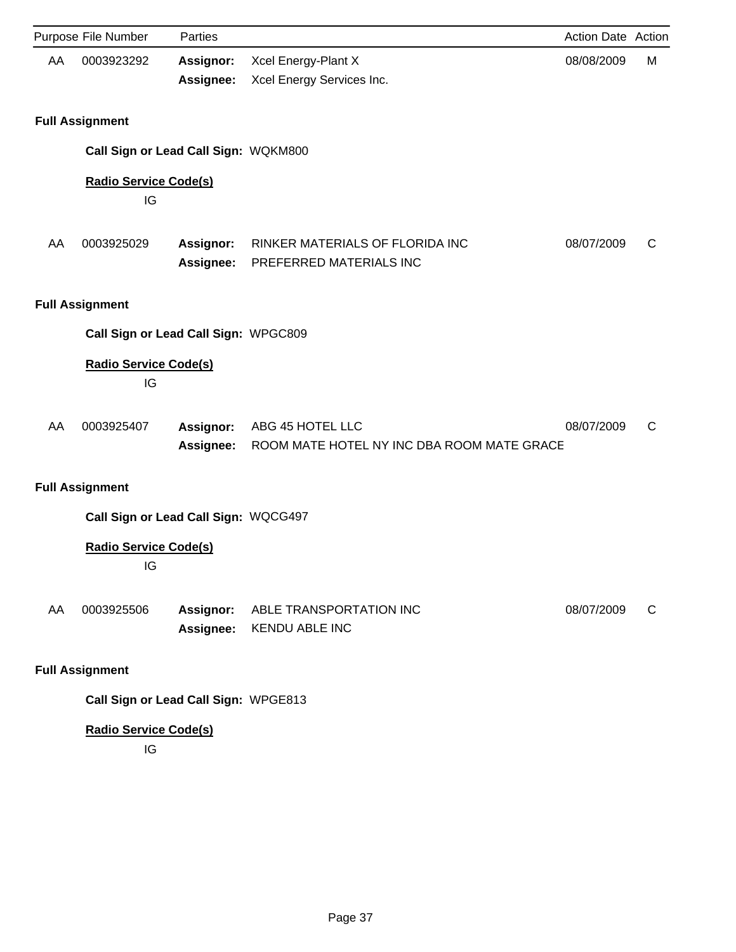|    | Purpose File Number                | Parties                              |                                                                | Action Date Action |   |
|----|------------------------------------|--------------------------------------|----------------------------------------------------------------|--------------------|---|
| AA | 0003923292                         | <b>Assignor:</b><br>Assignee:        | Xcel Energy-Plant X<br>Xcel Energy Services Inc.               | 08/08/2009         | М |
|    | <b>Full Assignment</b>             |                                      |                                                                |                    |   |
|    |                                    | Call Sign or Lead Call Sign: WQKM800 |                                                                |                    |   |
|    | <b>Radio Service Code(s)</b><br>IG |                                      |                                                                |                    |   |
| AA | 0003925029                         | Assignor:<br>Assignee:               | RINKER MATERIALS OF FLORIDA INC<br>PREFERRED MATERIALS INC     | 08/07/2009         | C |
|    | <b>Full Assignment</b>             |                                      |                                                                |                    |   |
|    |                                    | Call Sign or Lead Call Sign: WPGC809 |                                                                |                    |   |
|    | <b>Radio Service Code(s)</b><br>IG |                                      |                                                                |                    |   |
| AA | 0003925407                         | Assignor:<br>Assignee:               | ABG 45 HOTEL LLC<br>ROOM MATE HOTEL NY INC DBA ROOM MATE GRACE | 08/07/2009         | C |
|    | <b>Full Assignment</b>             |                                      |                                                                |                    |   |
|    |                                    | Call Sign or Lead Call Sign: WQCG497 |                                                                |                    |   |
|    | <b>Radio Service Code(s)</b><br>IG |                                      |                                                                |                    |   |
| AA | 0003925506                         | Assignor:<br>Assignee:               | ABLE TRANSPORTATION INC<br><b>KENDU ABLE INC</b>               | 08/07/2009         | C |
|    | <b>Full Assignment</b>             |                                      |                                                                |                    |   |
|    |                                    | Call Sign or Lead Call Sign: WPGE813 |                                                                |                    |   |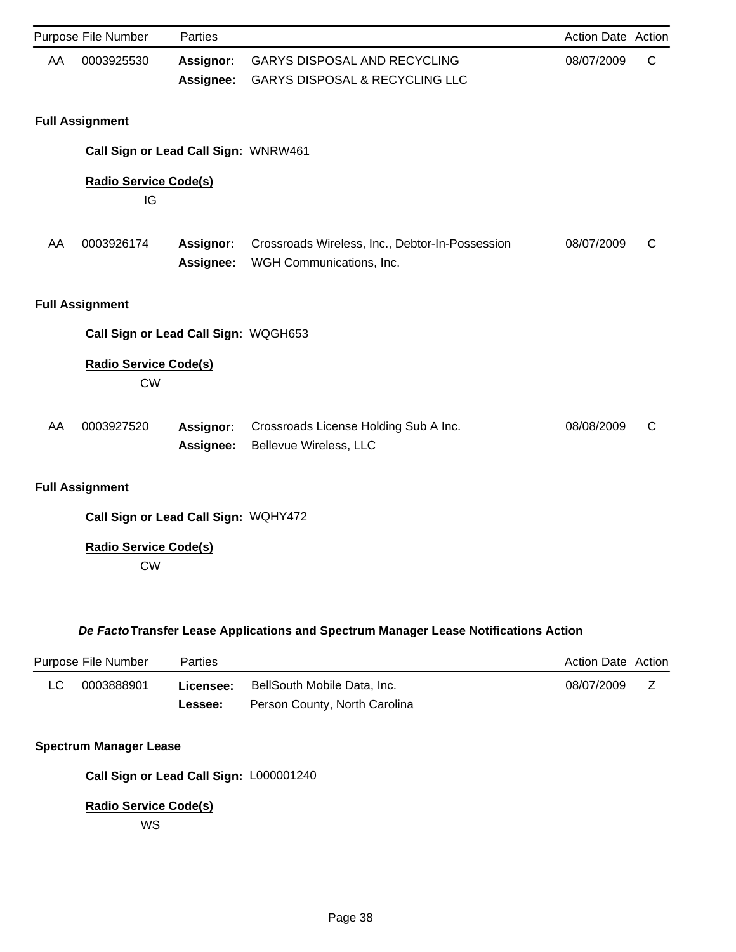|                                      | Purpose File Number                       | Parties                |                                                                                  | <b>Action Date Action</b> |   |  |
|--------------------------------------|-------------------------------------------|------------------------|----------------------------------------------------------------------------------|---------------------------|---|--|
| AA                                   | 0003925530                                | Assignor:<br>Assignee: | <b>GARYS DISPOSAL AND RECYCLING</b><br><b>GARYS DISPOSAL &amp; RECYCLING LLC</b> | 08/07/2009                | C |  |
|                                      | <b>Full Assignment</b>                    |                        |                                                                                  |                           |   |  |
|                                      | Call Sign or Lead Call Sign: WNRW461      |                        |                                                                                  |                           |   |  |
|                                      | <b>Radio Service Code(s)</b><br>IG        |                        |                                                                                  |                           |   |  |
| AA                                   | 0003926174                                | Assignor:<br>Assignee: | Crossroads Wireless, Inc., Debtor-In-Possession<br>WGH Communications, Inc.      | 08/07/2009                | C |  |
|                                      | <b>Full Assignment</b>                    |                        |                                                                                  |                           |   |  |
|                                      | Call Sign or Lead Call Sign: WQGH653      |                        |                                                                                  |                           |   |  |
|                                      | <b>Radio Service Code(s)</b><br><b>CW</b> |                        |                                                                                  |                           |   |  |
| AA                                   | 0003927520                                | Assignor:<br>Assignee: | Crossroads License Holding Sub A Inc.<br>Bellevue Wireless, LLC                  | 08/08/2009                | C |  |
| <b>Full Assignment</b>               |                                           |                        |                                                                                  |                           |   |  |
| Call Sign or Lead Call Sign: WQHY472 |                                           |                        |                                                                                  |                           |   |  |

CW

# *De Facto***Transfer Lease Applications and Spectrum Manager Lease Notifications Action**

| Purpose File Number |            | Parties   |                               | Action Date Action |              |
|---------------------|------------|-----------|-------------------------------|--------------------|--------------|
| LC.                 | 0003888901 | Licensee: | BellSouth Mobile Data, Inc.   | 08/07/2009         | <sub>z</sub> |
|                     |            | Lessee:   | Person County, North Carolina |                    |              |

## **Spectrum Manager Lease**

**Call Sign or Lead Call Sign:** L000001240

## **Radio Service Code(s)**

WS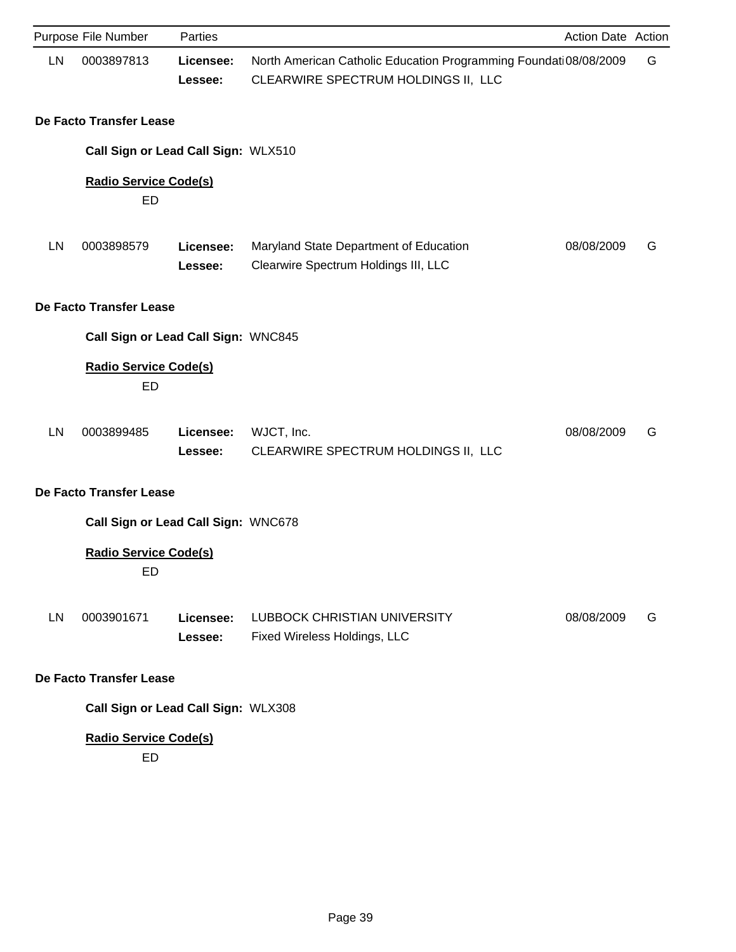|    | Purpose File Number                       | Parties              |                                                                                                         | Action Date Action |   |
|----|-------------------------------------------|----------------------|---------------------------------------------------------------------------------------------------------|--------------------|---|
| LN | 0003897813                                | Licensee:<br>Lessee: | North American Catholic Education Programming Foundati08/08/2009<br>CLEARWIRE SPECTRUM HOLDINGS II, LLC |                    | G |
|    | De Facto Transfer Lease                   |                      |                                                                                                         |                    |   |
|    | Call Sign or Lead Call Sign: WLX510       |                      |                                                                                                         |                    |   |
|    | <b>Radio Service Code(s)</b><br><b>ED</b> |                      |                                                                                                         |                    |   |
| LN | 0003898579                                | Licensee:<br>Lessee: | Maryland State Department of Education<br>Clearwire Spectrum Holdings III, LLC                          | 08/08/2009         | G |
|    | De Facto Transfer Lease                   |                      |                                                                                                         |                    |   |
|    | Call Sign or Lead Call Sign: WNC845       |                      |                                                                                                         |                    |   |
|    | <b>Radio Service Code(s)</b><br><b>ED</b> |                      |                                                                                                         |                    |   |
| LN | 0003899485                                | Licensee:<br>Lessee: | WJCT, Inc.<br>CLEARWIRE SPECTRUM HOLDINGS II, LLC                                                       | 08/08/2009         | G |
|    | De Facto Transfer Lease                   |                      |                                                                                                         |                    |   |
|    | Call Sign or Lead Call Sign: WNC678       |                      |                                                                                                         |                    |   |
|    | <b>Radio Service Code(s)</b><br>ED        |                      |                                                                                                         |                    |   |
| LN | 0003901671                                | Licensee:<br>Lessee: | <b>LUBBOCK CHRISTIAN UNIVERSITY</b><br>Fixed Wireless Holdings, LLC                                     | 08/08/2009         | G |
|    | De Facto Transfer Lease                   |                      |                                                                                                         |                    |   |
|    | Call Sign or Lead Call Sign: WLX308       |                      |                                                                                                         |                    |   |
|    | <b>Radio Service Code(s)</b><br>ED        |                      |                                                                                                         |                    |   |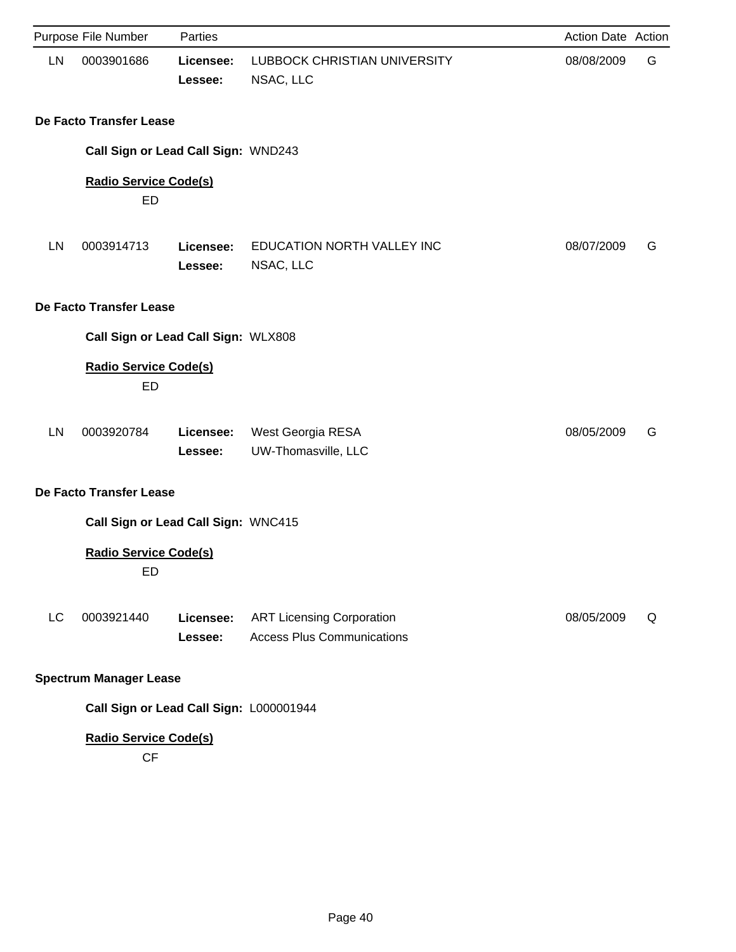|    | Purpose File Number                       | Parties              |                                                                       | Action Date Action |   |
|----|-------------------------------------------|----------------------|-----------------------------------------------------------------------|--------------------|---|
| LN | 0003901686                                | Licensee:<br>Lessee: | <b>LUBBOCK CHRISTIAN UNIVERSITY</b><br>NSAC, LLC                      | 08/08/2009         | G |
|    | De Facto Transfer Lease                   |                      |                                                                       |                    |   |
|    | Call Sign or Lead Call Sign: WND243       |                      |                                                                       |                    |   |
|    | <b>Radio Service Code(s)</b><br><b>ED</b> |                      |                                                                       |                    |   |
| LN | 0003914713                                | Licensee:<br>Lessee: | EDUCATION NORTH VALLEY INC<br>NSAC, LLC                               | 08/07/2009         | G |
|    | De Facto Transfer Lease                   |                      |                                                                       |                    |   |
|    | Call Sign or Lead Call Sign: WLX808       |                      |                                                                       |                    |   |
|    | <b>Radio Service Code(s)</b><br><b>ED</b> |                      |                                                                       |                    |   |
| LN | 0003920784                                | Licensee:<br>Lessee: | West Georgia RESA<br>UW-Thomasville, LLC                              | 08/05/2009         | G |
|    | De Facto Transfer Lease                   |                      |                                                                       |                    |   |
|    | Call Sign or Lead Call Sign: WNC415       |                      |                                                                       |                    |   |
|    | <b>Radio Service Code(s)</b><br><b>ED</b> |                      |                                                                       |                    |   |
| LC | 0003921440                                | Licensee:<br>Lessee: | <b>ART Licensing Corporation</b><br><b>Access Plus Communications</b> | 08/05/2009         | Q |
|    | <b>Spectrum Manager Lease</b>             |                      |                                                                       |                    |   |
|    | Call Sign or Lead Call Sign: L000001944   |                      |                                                                       |                    |   |
|    | <b>Radio Service Code(s)</b><br>CF        |                      |                                                                       |                    |   |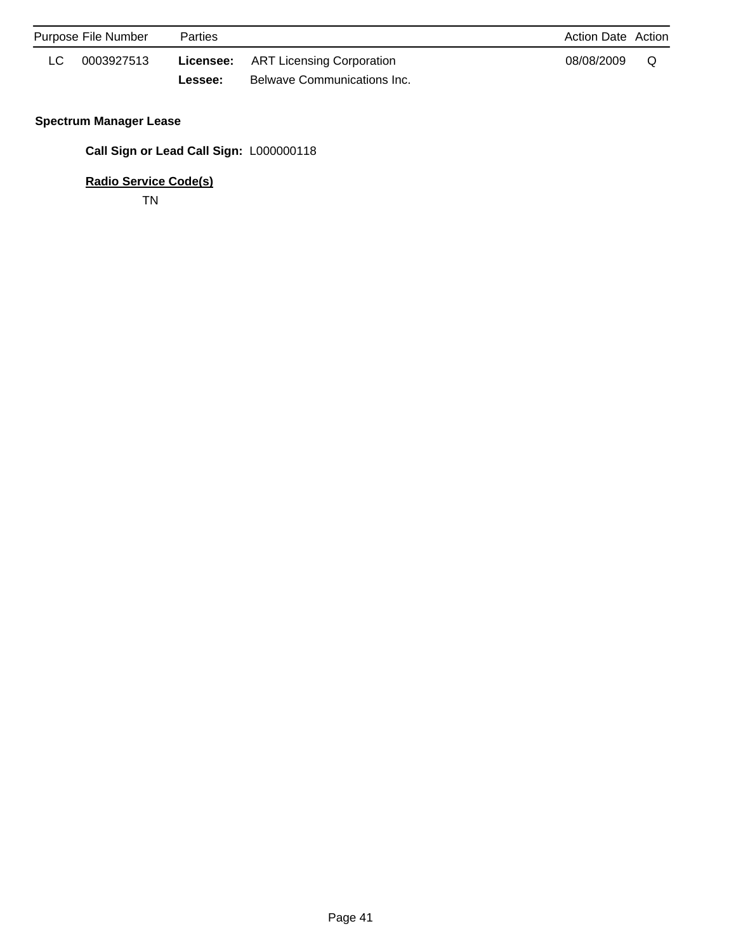| Purpose File Number |            | <b>Parties</b> |                                            |            | Action Date Action |
|---------------------|------------|----------------|--------------------------------------------|------------|--------------------|
|                     | 0003927513 |                | <b>Licensee:</b> ART Licensing Corporation | 08/08/2009 | O                  |
|                     |            | <b>Lessee:</b> | Belwave Communications Inc.                |            |                    |

# **Spectrum Manager Lease**

**Call Sign or Lead Call Sign:** L000000118

**Radio Service Code(s)**

TN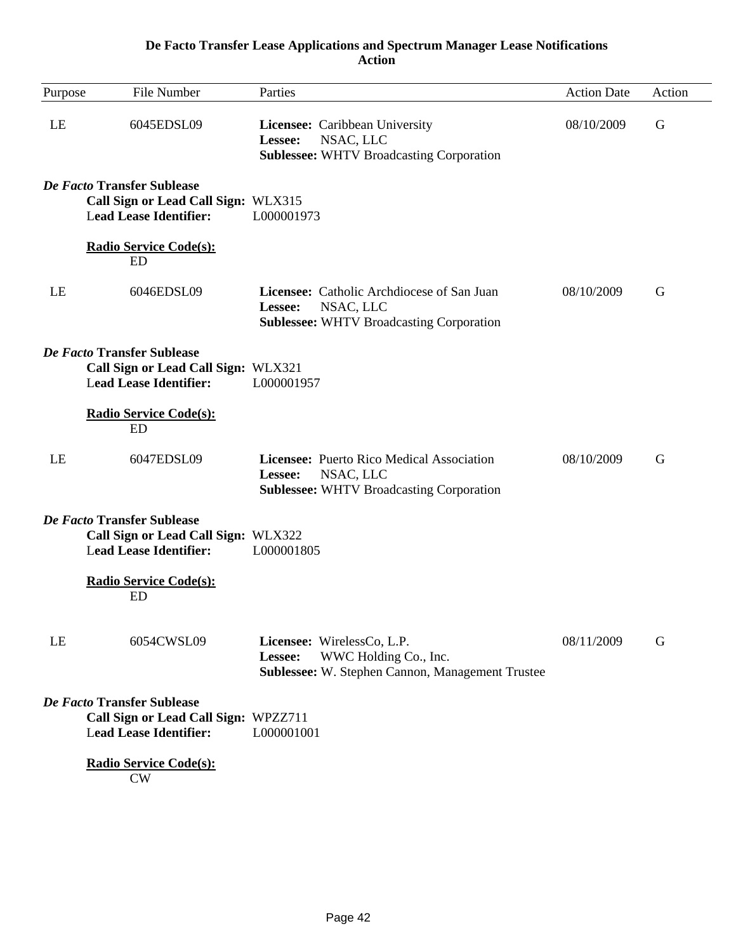## **De Facto Transfer Lease Applications and Spectrum Manager Lease Notifications Action**

| Purpose | File Number                                                                                         | Parties                                                                                                               | <b>Action Date</b> | Action |
|---------|-----------------------------------------------------------------------------------------------------|-----------------------------------------------------------------------------------------------------------------------|--------------------|--------|
| LE      | 6045EDSL09                                                                                          | Licensee: Caribbean University<br>NSAC, LLC<br>Lessee:<br><b>Sublessee: WHTV Broadcasting Corporation</b>             | 08/10/2009         | G      |
|         | De Facto Transfer Sublease<br>Call Sign or Lead Call Sign: WLX315<br><b>Lead Lease Identifier:</b>  | L000001973                                                                                                            |                    |        |
|         | <b>Radio Service Code(s):</b><br><b>ED</b>                                                          |                                                                                                                       |                    |        |
| LE      | 6046EDSL09                                                                                          | Licensee: Catholic Archdiocese of San Juan<br>NSAC, LLC<br>Lessee:<br><b>Sublessee: WHTV Broadcasting Corporation</b> | 08/10/2009         | G      |
|         | De Facto Transfer Sublease<br>Call Sign or Lead Call Sign: WLX321<br><b>Lead Lease Identifier:</b>  | L000001957                                                                                                            |                    |        |
|         | <b>Radio Service Code(s):</b><br><b>ED</b>                                                          |                                                                                                                       |                    |        |
| LE      | 6047EDSL09                                                                                          | Licensee: Puerto Rico Medical Association<br>NSAC, LLC<br>Lessee:<br><b>Sublessee: WHTV Broadcasting Corporation</b>  | 08/10/2009         | G      |
|         | De Facto Transfer Sublease<br>Call Sign or Lead Call Sign: WLX322<br><b>Lead Lease Identifier:</b>  | L000001805                                                                                                            |                    |        |
|         | <b>Radio Service Code(s):</b><br>ED                                                                 |                                                                                                                       |                    |        |
| LE      | 6054CWSL09                                                                                          | Licensee: WirelessCo, L.P.<br>WWC Holding Co., Inc.<br>Lessee:<br>Sublessee: W. Stephen Cannon, Management Trustee    | 08/11/2009         | G      |
|         | De Facto Transfer Sublease<br>Call Sign or Lead Call Sign: WPZZ711<br><b>Lead Lease Identifier:</b> | L000001001                                                                                                            |                    |        |
|         | <b>Radio Service Code(s):</b><br>CW                                                                 |                                                                                                                       |                    |        |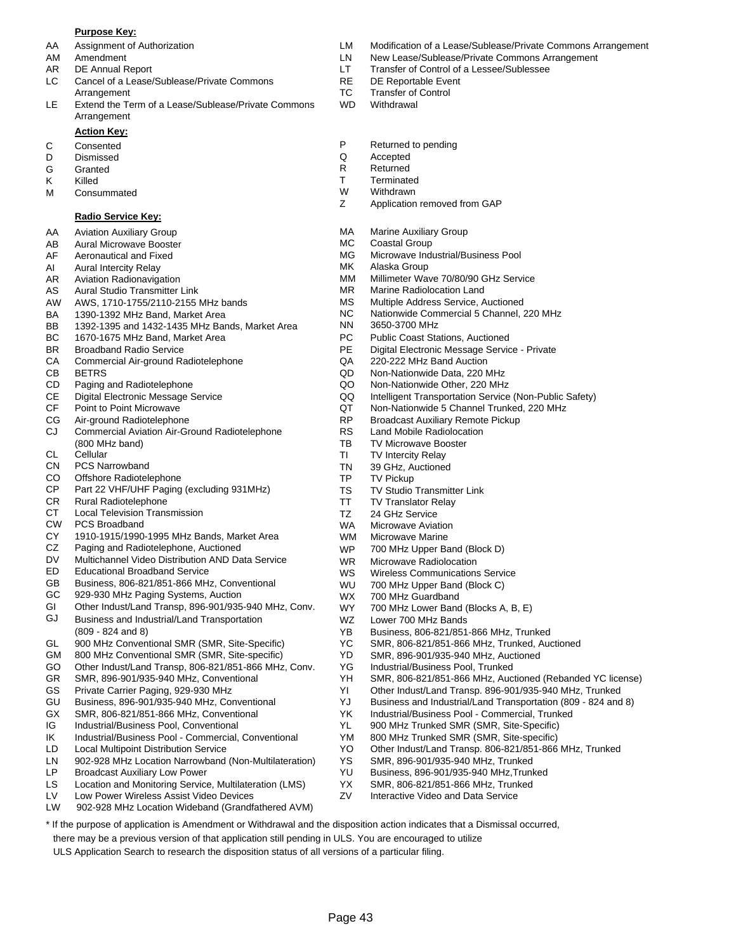#### **Purpose Key:**

- 
- 
- 
- LC Cancel of a Lease/Sublease/Private Commons RE DE Reportable Event Arrangement TC Transfer of Control
- LE Extend the Term of a Lease/Sublease/Private Commons WD Withdrawal Arrangement

#### **Action Key:**

- 
- D Dismissed Q Accepted
- 
- 
- M Consummated M W Withdrawn<br>
Z Application

#### **Radio Service Key:**

- AA Aviation Auxiliary Group
- AB Aural Microwave Booster
- AF Aeronautical and Fixed
- AI Aural Intercity Relay
- AR Aviation Radionavigation
- AS Aural Studio Transmitter Link
- AW AWS, 1710-1755/2110-2155 MHz bands
- BA 1390-1392 MHz Band, Market Area
- BB 1392-1395 and 1432-1435 MHz Bands, Market Area
- BC 1670-1675 MHz Band, Market Area
- BR Broadband Radio Service
- CA Commercial Air-ground Radiotelephone
- CB BETRS
- CD Paging and Radiotelephone
- CE Digital Electronic Message Service
- CF Point to Point Microwave
- CG Air-ground Radiotelephone
- CJ Commercial Aviation Air-Ground Radiotelephone (800 MHz band)
- CL **Cellular**
- CN PCS Narrowband
- CO Offshore Radiotelephone
- CP Part 22 VHF/UHF Paging (excluding 931MHz)
- CR Rural Radiotelephone
- CT Local Television Transmission
- CW PCS Broadband
- CY 1910-1915/1990-1995 MHz Bands, Market Area
- CZ Paging and Radiotelephone, Auctioned
- DV Multichannel Video Distribution AND Data Service
- ED Educational Broadband Service
- GB Business, 806-821/851-866 MHz, Conventional
- GC 929-930 MHz Paging Systems, Auction
- GI Other Indust/Land Transp, 896-901/935-940 MHz, Conv.
- GJ Business and Industrial/Land Transportation (809 - 824 and 8)
- GL 900 MHz Conventional SMR (SMR, Site-Specific)
- GM 800 MHz Conventional SMR (SMR, Site-specific)
- GO Other Indust/Land Transp, 806-821/851-866 MHz, Conv.
- GR SMR, 896-901/935-940 MHz, Conventional
- GS Private Carrier Paging, 929-930 MHz
- GU Business, 896-901/935-940 MHz, Conventional
- GX SMR, 806-821/851-866 MHz, Conventional
- IG Industrial/Business Pool, Conventional
- IK Industrial/Business Pool Commercial, Conventional
- LD Local Multipoint Distribution Service
- LN 902-928 MHz Location Narrowband (Non-Multilateration)
- LP Broadcast Auxiliary Low Power
- Location and Monitoring Service, Multilateration (LMS) LS
- Low Power Wireless Assist Video Devices LV
- LW 902-928 MHz Location Wideband (Grandfathered AVM)
- AA Assignment of Authorization LM Modification of a Lease/Sublease/Private Commons Arrangement
- AM Amendment **Amendment** 2008 Commons Arrangement LN New Lease/Sublease/Private Commons Arrangement
- AR DE Annual Report **LT** Transfer of Control of a Lessee/Sublessee
	-
	-
	-
- C Consented **C** Consented **P** Returned to pending **D** Dismissed **P** Returned to pending
	-
- G Granted **R** Returned
- K Killed T Terminated
	-
	- Application removed from GAP
	- MA Marine Auxiliary Group
	- MC Coastal Group
	- MG Microwave Industrial/Business Pool
	- MK Alaska Group
	- MM Millimeter Wave 70/80/90 GHz Service
	- MR Marine Radiolocation Land
	- MS Multiple Address Service, Auctioned
	- NC Nationwide Commercial 5 Channel, 220 MHz
		- NN 3650-3700 MHz
		- PC Public Coast Stations, Auctioned
		- PE Digital Electronic Message Service Private
		- QA 220-222 MHz Band Auction
		- QD Non-Nationwide Data, 220 MHz
		- QO Non-Nationwide Other, 220 MHz
		- QQ Intelligent Transportation Service (Non-Public Safety)
		- QT Non-Nationwide 5 Channel Trunked, 220 MHz
		- RP Broadcast Auxiliary Remote Pickup
		- RS Land Mobile Radiolocation
		- TB TV Microwave Booster
		- TI TV Intercity Relay
		- TN 39 GHz, Auctioned
		- TP TV Pickup

WS WU

YD

Page 43

\* If the purpose of application is Amendment or Withdrawal and the disposition action indicates that a Dismissal occurred,

there may be a previous version of that application still pending in ULS. You are encouraged to utilize ULS Application Search to research the disposition status of all versions of a particular filing.

WZ WX WY

TS TV Studio Transmitter Link

WR Microwave Radiolocation

Lower 700 MHz Bands

700 MHz Guardband

YG Industrial/Business Pool, Trunked

YS SMR, 896-901/935-940 MHz, Trunked YU Business, 896-901/935-940 MHz,Trunked YX SMR, 806-821/851-866 MHz, Trunked ZV Interactive Video and Data Service

Wireless Communications Service 700 MHz Upper Band (Block C)

YB Business, 806-821/851-866 MHz, Trunked YC SMR, 806-821/851-866 MHz, Trunked, Auctioned SMR, 896-901/935-940 MHz, Auctioned

700 MHz Lower Band (Blocks A, B, E)

YK Industrial/Business Pool - Commercial, Trunked YL 900 MHz Trunked SMR (SMR, Site-Specific) YM 800 MHz Trunked SMR (SMR, Site-specific)

YH SMR, 806-821/851-866 MHz, Auctioned (Rebanded YC license) YI Other Indust/Land Transp. 896-901/935-940 MHz, Trunked YJ Business and Industrial/Land Transportation (809 - 824 and 8)

YO Other Indust/Land Transp. 806-821/851-866 MHz, Trunked

- TT TV Translator Relay
- TZ 24 GHz Service
- WA Microwave Aviation
- WM WP Microwave Marine 700 MHz Upper Band (Block D)